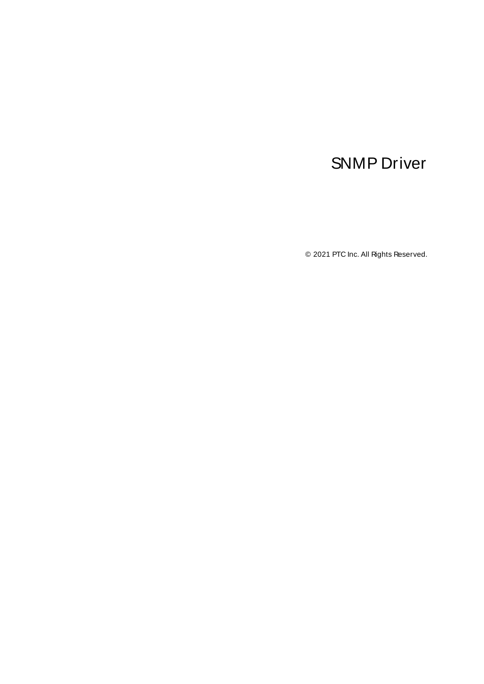# <span id="page-0-0"></span>SNMP Driver

© 2021 PTC Inc. All Rights Reserved.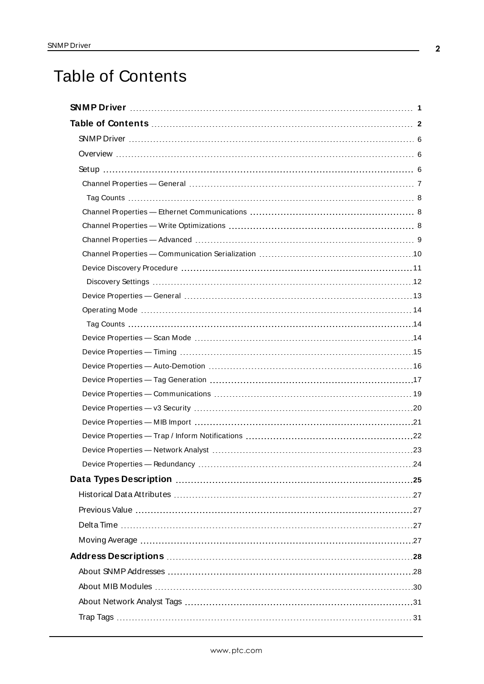# <span id="page-1-0"></span>Table of Contents

| Device Properties - Redundancy | .24 |
|--------------------------------|-----|
|                                |     |
|                                |     |
|                                |     |
|                                |     |
|                                |     |
|                                |     |
|                                |     |
|                                |     |
|                                |     |
|                                |     |
|                                |     |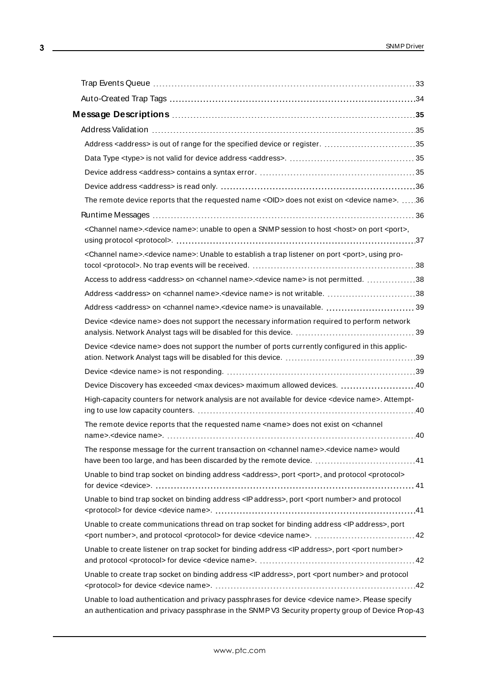| Message Descriptions ………………………………………………………………………35                                                                                                                                                               |
|------------------------------------------------------------------------------------------------------------------------------------------------------------------------------------------------------------------|
|                                                                                                                                                                                                                  |
| Address <address> is out of range for the specified device or register. 35</address>                                                                                                                             |
|                                                                                                                                                                                                                  |
|                                                                                                                                                                                                                  |
|                                                                                                                                                                                                                  |
| The remote device reports that the requested name < OID> does not exist on < device name>. 36                                                                                                                    |
|                                                                                                                                                                                                                  |
| <channel name="">.<device name="">: unable to open a SNMP session to host <host> on port <port>,</port></host></device></channel>                                                                                |
| <channel name="">.<device name="">: Unable to establish a trap listener on port <port>, using pro-</port></device></channel>                                                                                     |
| Access to address <address> on <channel name="">.<device name=""> is not permitted. 38</device></channel></address>                                                                                              |
| Address <address> on <channel name="">.<device name=""> is not writable. 38</device></channel></address>                                                                                                         |
| Address <address> on <channel name="">.<device name=""> is unavailable.  39</device></channel></address>                                                                                                         |
| Device <device name=""> does not support the necessary information required to perform network</device>                                                                                                          |
| Device <device name=""> does not support the number of ports currently configured in this applic-</device>                                                                                                       |
|                                                                                                                                                                                                                  |
|                                                                                                                                                                                                                  |
| High-capacity counters for network analysis are not available for device <device name="">. Attempt-</device>                                                                                                     |
| The remote device reports that the requested name <name> does not exist on <channel< td=""></channel<></name>                                                                                                    |
| The response message for the current transaction on <channel name="">.<device name=""> would<br/>have been too large, and has been discarded by the remote device.  41</device></channel>                        |
| Unable to bind trap socket on binding address <address>, port <port>, and protocol <protocol></protocol></port></address>                                                                                        |
| Unable to bind trap socket on binding address < IP address>, port <port number=""> and protocol</port>                                                                                                           |
| Unable to create communications thread on trap socket for binding address <ip address="">, port</ip>                                                                                                             |
| Unable to create listener on trap socket for binding address <ip address="">, port <port number=""></port></ip>                                                                                                  |
| Unable to create trap socket on binding address <ip address="">, port <port number=""> and protocol</port></ip>                                                                                                  |
| Unable to load authentication and privacy passphrases for device <device name="">. Please specify<br/>an authentication and privacy passphrase in the SNMP V3 Security property group of Device Prop-43</device> |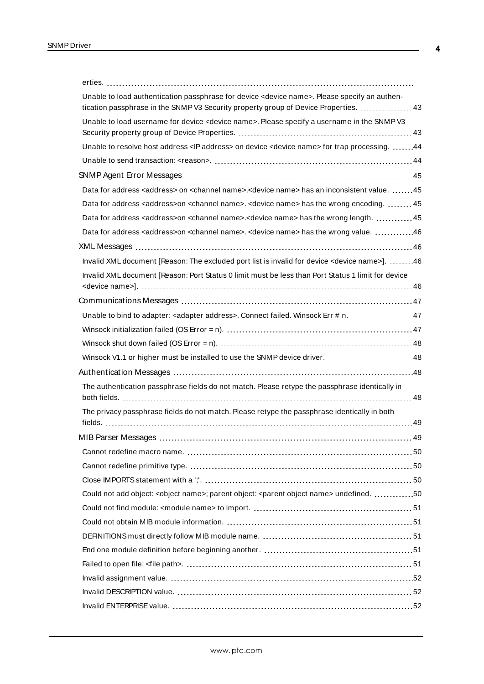| Unable to load authentication passphrase for device <device name="">. Please specify an authen-</device>                    |  |
|-----------------------------------------------------------------------------------------------------------------------------|--|
| tication passphrase in the SNMP V3 Security property group of Device Properties.  43                                        |  |
| Unable to load username for device <device name="">. Please specify a username in the SNMP V3</device>                      |  |
| Unable to resolve host address <ip address=""> on device <device name=""> for trap processing. 44</device></ip>             |  |
|                                                                                                                             |  |
|                                                                                                                             |  |
| Data for address <address> on <channel name="">.<device name=""> has an inconsistent value. 45</device></channel></address> |  |
| Data for address <address>on <channel name="">. <device name=""> has the wrong encoding.  45</device></channel></address>   |  |
| Data for address <address>on <channel name="">.<device name=""> has the wrong length. 45</device></channel></address>       |  |
| Data for address <address>on <channel name="">. <device name=""> has the wrong value. 46</device></channel></address>       |  |
|                                                                                                                             |  |
| Invalid XML document [Reason: The excluded port list is invalid for device <device name="">]. 46</device>                   |  |
| Invalid XML document [Reason: Port Status 0 limit must be less than Port Status 1 limit for device                          |  |
|                                                                                                                             |  |
|                                                                                                                             |  |
| Unable to bind to adapter: < adapter address>. Connect failed. Winsock Err # n.  47                                         |  |
|                                                                                                                             |  |
|                                                                                                                             |  |
| Winsock V1.1 or higher must be installed to use the SNMP device driver. 48                                                  |  |
|                                                                                                                             |  |
| The authentication passphrase fields do not match. Please retype the passphrase identically in                              |  |
| The privacy passphrase fields do not match. Please retype the passphrase identically in both                                |  |
|                                                                                                                             |  |
|                                                                                                                             |  |
|                                                                                                                             |  |
|                                                                                                                             |  |
|                                                                                                                             |  |
| Could not add object: <object name="">; parent object: <parent name="" object=""> undefined. 50</parent></object>           |  |
|                                                                                                                             |  |
|                                                                                                                             |  |
|                                                                                                                             |  |
|                                                                                                                             |  |
|                                                                                                                             |  |
|                                                                                                                             |  |
|                                                                                                                             |  |
|                                                                                                                             |  |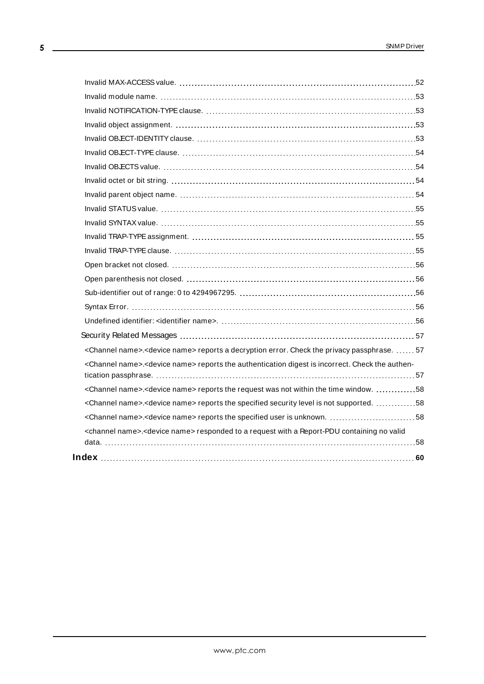| <channel name="">.<device name=""> reports a decryption error. Check the privacy passphrase.  57</device></channel>     |  |
|-------------------------------------------------------------------------------------------------------------------------|--|
| <channel name="">.<device name=""> reports the authentication digest is incorrect. Check the authen-</device></channel> |  |
|                                                                                                                         |  |
| <channel name="">.<device name=""> reports the request was not within the time window. 58</device></channel>            |  |
| <channel name="">.<device name=""> reports the specified security level is not supported. 58</device></channel>         |  |
| <channel name="">.<device name=""> reports the specified user is unknown. 58</device></channel>                         |  |
| <channel name="">.<device name=""> responded to a request with a Report-PDU containing no valid</device></channel>      |  |
|                                                                                                                         |  |
|                                                                                                                         |  |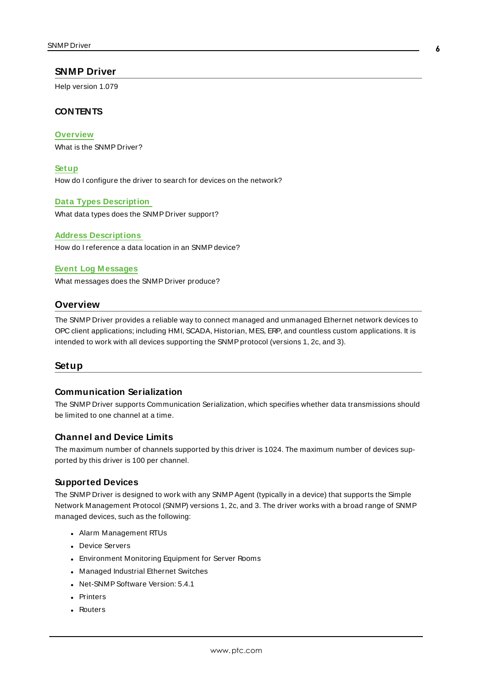#### <span id="page-5-0"></span>**SNMP Driver**

Help version 1.079

### **CONTENTS**

**[Overview](#page-5-1)**

What is the SNMP Driver?

**[Setup](#page-5-2)** How do I configure the driver to search for devices on the network?

**Data Types [Description](#page-24-0)** What data types does the SNMP Driver support?

**Address [Descriptions](#page-27-0)** How do I reference a data location in an SNMPdevice?

#### **Event Log [M essages](#page-34-0)**

<span id="page-5-1"></span>What messages does the SNMP Driver produce?

#### **Overview**

The SNMP Driver provides a reliable way to connect managed and unmanaged Ethernet network devices to OPC client applications; including HMI, SCADA, Historian, MES, ERP, and countless custom applications. It is intended to work with all devices supporting the SNMPprotocol (versions 1, 2c, and 3).

#### <span id="page-5-2"></span>**Setup**

## **Communication Serialization**

The SNMP Driver supports Communication Serialization, which specifies whether data transmissions should be limited to one channel at a time.

#### **Channel and Device Limits**

The maximum number of channels supported by this driver is 1024. The maximum number of devices supported by this driver is 100 per channel.

#### **Supported Devices**

The SNMP Driver is designed to work with any SNMP Agent (typically in a device) that supports the Simple Network Management Protocol (SNMP) versions 1, 2c, and 3. The driver works with a broad range of SNMP managed devices, such as the following:

- Alarm Management RTUs
- Device Servers
- **Environment Monitoring Equipment for Server Rooms**
- Managed Industrial Ethernet Switches
- Net-SNMP Software Version: 5.4.1
- Printers
- . Routers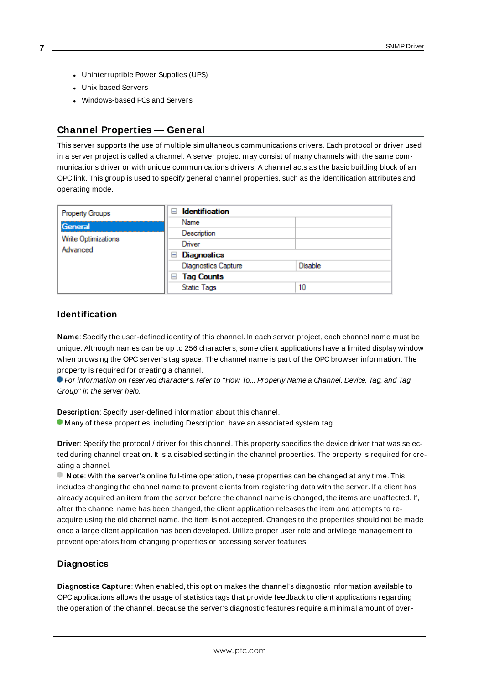- **7**
- Uninterruptible Power Supplies (UPS)
- Unix-based Servers
- Windows-based PCs and Servers

## <span id="page-6-0"></span>**Channel Properties — General**

This server supports the use of multiple simultaneous communications drivers. Each protocol or driver used in a server project is called a channel. A server project may consist of many channels with the same communications driver or with unique communications drivers. A channel acts as the basic building block of an OPC link. This group is used to specify general channel properties, such as the identification attributes and operating mode.

| Property Groups                 | <b>Identification</b><br>$\overline{ }$ |                |
|---------------------------------|-----------------------------------------|----------------|
| General                         | Name                                    |                |
|                                 | Description                             |                |
| Write Optimizations<br>Advanced | Driver                                  |                |
|                                 | <b>Diagnostics</b><br>$=$               |                |
|                                 | <b>Diagnostics Capture</b>              | <b>Disable</b> |
|                                 | <b>Tag Counts</b><br>$=$                |                |
|                                 | <b>Static Tags</b>                      | 10             |

#### <span id="page-6-2"></span>**Identification**

**Name**: Specify the user-defined identity of this channel. In each server project, each channel name must be unique. Although names can be up to 256 characters, some client applications have a limited display window when browsing the OPC server's tag space. The channel name is part of the OPC browser information. The property is required for creating a channel.

For information on reserved characters, refer to "How To... Properly Name a Channel, Device, Tag, and Tag Group" in the server help.

**Description**: Specify user-defined information about this channel.

Many of these properties, including Description, have an associated system tag.

**Driver**: Specify the protocol / driver for this channel. This property specifies the device driver that was selected during channel creation. It is a disabled setting in the channel properties. The property is required for creating a channel.

**Note**: With the server's online full-time operation, these properties can be changed at any time. This includes changing the channel name to prevent clients from registering data with the server. If a client has already acquired an item from the server before the channel name is changed, the items are unaffected. If, after the channel name has been changed, the client application releases the item and attempts to reacquire using the old channel name, the item is not accepted. Changes to the properties should not be made once a large client application has been developed. Utilize proper user role and privilege management to prevent operators from changing properties or accessing server features.

#### <span id="page-6-1"></span>**Diagnostics**

**Diagnostics Capture**: When enabled, this option makes the channel's diagnostic information available to OPC applications allows the usage of statistics tags that provide feedback to client applications regarding the operation of the channel. Because the server's diagnostic features require a minimal amount of over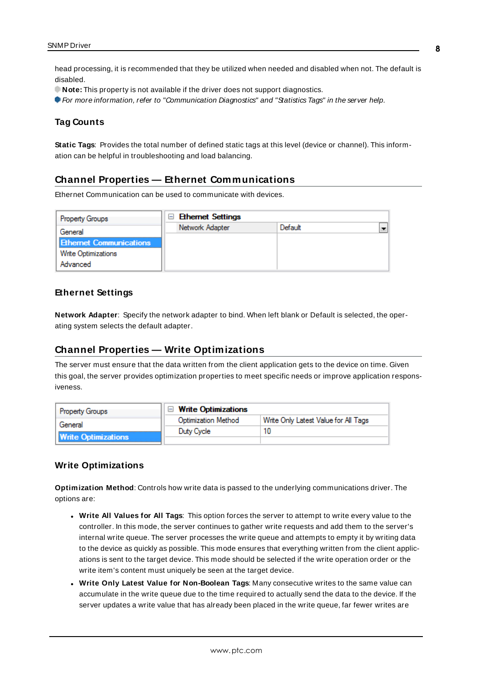head processing, it is recommended that they be utilized when needed and disabled when not. The default is disabled.

**Note:** This property is not available if the driver does not support diagnostics.

<span id="page-7-0"></span>For more information, refer to "Communication Diagnostics" and "Statistics Tags" in the server help.

#### **Tag Counts**

**Static Tags**: Provides the total number of defined static tags at this level (device or channel). This information can be helpful in troubleshooting and load balancing.

## <span id="page-7-1"></span>**Channel Properties — Ethernet Communications**

Ethernet Communication can be used to communicate with devices.

| <b>Property Groups</b>         | $\Box$ Ethernet Settings |         |  |
|--------------------------------|--------------------------|---------|--|
| General                        | Network Adapter          | Default |  |
| <b>Ethernet Communications</b> |                          |         |  |
| <b>Write Optimizations</b>     |                          |         |  |
| Advanced                       |                          |         |  |
|                                |                          |         |  |

#### <span id="page-7-5"></span><span id="page-7-4"></span>**Ethernet Settings**

**Network Adapter**: Specify the network adapter to bind. When left blank or Default is selected, the operating system selects the default adapter.

## <span id="page-7-2"></span>**Channel Properties — Write Optimizations**

The server must ensure that the data written from the client application gets to the device on time. Given this goal, the server provides optimization properties to meet specific needs or improve application responsiveness.

| <b>Property Groups</b>     | $\Box$ Write Optimizations |                                      |
|----------------------------|----------------------------|--------------------------------------|
| General                    | <b>Optimization Method</b> | Write Only Latest Value for All Tags |
|                            | Duty Cycle                 |                                      |
| <b>Write Optimizations</b> |                            |                                      |

#### <span id="page-7-6"></span><span id="page-7-3"></span>**Write Optimizations**

**Optimization Method**: Controls how write data is passed to the underlying communications driver. The options are:

- <span id="page-7-7"></span><sup>l</sup> **Write All Values for All Tags**: This option forces the server to attempt to write every value to the controller. In this mode, the server continues to gather write requests and add them to the server's internal write queue. The server processes the write queue and attempts to empty it by writing data to the device as quickly as possible. This mode ensures that everything written from the client applications is sent to the target device. This mode should be selected if the write operation order or the write item's content must uniquely be seen at the target device.
- <sup>l</sup> **Write Only Latest Value for Non-Boolean Tags**: Many consecutive writes to the same value can accumulate in the write queue due to the time required to actually send the data to the device. If the server updates a write value that has already been placed in the write queue, far fewer writes are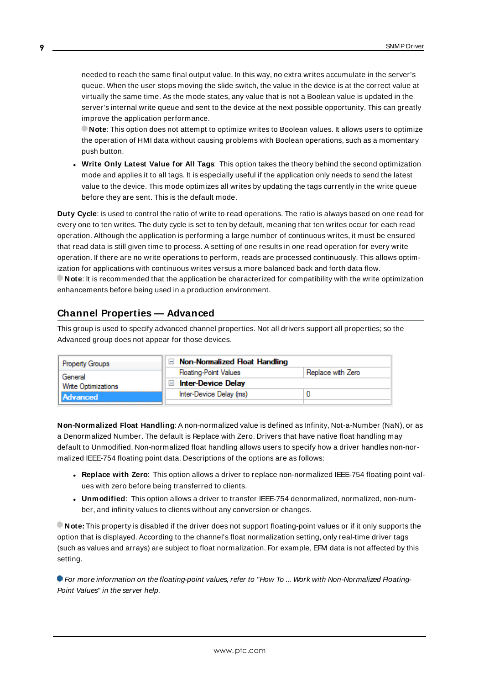<span id="page-8-6"></span>needed to reach the same final output value. In this way, no extra writes accumulate in the server's queue. When the user stops moving the slide switch, the value in the device is at the correct value at virtually the same time. As the mode states, any value that is not a Boolean value is updated in the server's internal write queue and sent to the device at the next possible opportunity. This can greatly improve the application performance.

**Note**: This option does not attempt to optimize writes to Boolean values. It allows users to optimize the operation of HMI data without causing problems with Boolean operations, such as a momentary push button.

<span id="page-8-5"></span><sup>l</sup> **Write Only Latest Value for All Tags**: This option takes the theory behind the second optimization mode and applies it to all tags. It is especially useful if the application only needs to send the latest value to the device. This mode optimizes all writes by updating the tags currently in the write queue before they are sent. This is the default mode.

<span id="page-8-1"></span>**Duty Cycle**: is used to control the ratio of write to read operations. The ratio is always based on one read for every one to ten writes. The duty cycle is set to ten by default, meaning that ten writes occur for each read operation. Although the application is performing a large number of continuous writes, it must be ensured that read data is still given time to process. A setting of one results in one read operation for every write operation. If there are no write operations to perform, reads are processed continuously. This allows optimization for applications with continuous writes versus a more balanced back and forth data flow. **Note**: It is recommended that the application be characterized for compatibility with the write optimization enhancements before being used in a production environment.

# <span id="page-8-0"></span>**Channel Properties — Advanced**

This group is used to specify advanced channel properties. Not all drivers support all properties; so the Advanced group does not appear for those devices.

| <b>Property Groups</b>     | $\Box$ Non-Normalized Float Handling |                   |
|----------------------------|--------------------------------------|-------------------|
| General                    | <b>Floating-Point Values</b>         | Replace with Zero |
| <b>Write Optimizations</b> | <b>Inter-Device Delay</b>            |                   |
| <b>Advanced</b>            | Inter-Device Delay (ms)              |                   |
|                            |                                      |                   |

<span id="page-8-2"></span>**Non-Normalized Float Handling**: A non-normalized value is defined as Infinity, Not-a-Number (NaN), or as a Denormalized Number. The default is Replace with Zero. Drivers that have native float handling may default to Unmodified. Non-normalized float handling allows users to specify how a driver handles non-normalized IEEE-754 floating point data. Descriptions of the options are as follows:

- <span id="page-8-3"></span><sup>l</sup> **Replace with Zero**: This option allows a driver to replace non-normalized IEEE-754 floating point values with zero before being transferred to clients.
- <span id="page-8-4"></span><sup>l</sup> **Unmodified**: This option allows a driver to transfer IEEE-754 denormalized, normalized, non-number, and infinity values to clients without any conversion or changes.

**Note:** This property is disabled if the driver does not support floating-point values or if it only supports the option that is displayed. According to the channel's float normalization setting, only real-time driver tags (such as values and arrays) are subject to float normalization. For example, EFM data is not affected by this setting.

For more information on the floating-point values, refer to "How To ... Work with Non-Normalized Floating-Point Values" in the server help.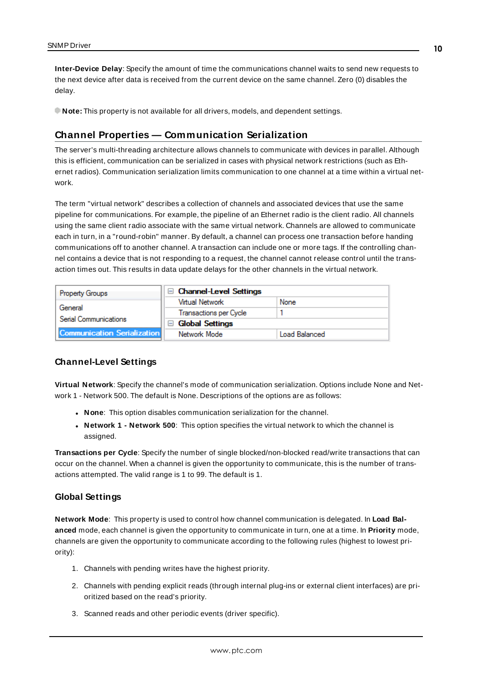<span id="page-9-3"></span>**Inter-Device Delay**: Specify the amount of time the communications channel waits to send new requests to the next device after data is received from the current device on the same channel. Zero (0) disables the delay.

<span id="page-9-0"></span>**Note:** This property is not available for all drivers, models, and dependent settings.

### **Channel Properties — Communication Serialization**

The server's multi-threading architecture allows channels to communicate with devices in parallel. Although this is efficient, communication can be serialized in cases with physical network restrictions (such as Ethernet radios). Communication serialization limits communication to one channel at a time within a virtual network.

The term "virtual network" describes a collection of channels and associated devices that use the same pipeline for communications. For example, the pipeline of an Ethernet radio is the client radio. All channels using the same client radio associate with the same virtual network. Channels are allowed to communicate each in turn, in a "round-robin" manner. By default, a channel can process one transaction before handing communications off to another channel. A transaction can include one or more tags. If the controlling channel contains a device that is not responding to a request, the channel cannot release control until the transaction times out. This results in data update delays for the other channels in the virtual network.

| <b>Property Groups</b>             | $\Box$ Channel-Level Settings    |               |
|------------------------------------|----------------------------------|---------------|
| General                            | Virtual Network                  | None          |
|                                    | Transactions per Cycle           |               |
| Serial Communications              | <b>Global Settings</b><br>$\Box$ |               |
| <b>Communication Serialization</b> | Network Mode                     | Load Balanced |

#### <span id="page-9-8"></span><span id="page-9-1"></span>**Channel-Level Settings**

**Virtual Network**: Specify the channel's mode of communication serialization. Options include None and Network 1 - Network 500. The default is None. Descriptions of the options are as follows:

- <span id="page-9-5"></span>**None**: This option disables communication serialization for the channel.
- <sup>l</sup> **Network 1 - Network 500**: This option specifies the virtual network to which the channel is assigned.

<span id="page-9-7"></span>**Transactions per Cycle**: Specify the number of single blocked/non-blocked read/write transactions that can occur on the channel. When a channel is given the opportunity to communicate, this is the number of transactions attempted. The valid range is 1 to 99. The default is 1.

#### <span id="page-9-6"></span><span id="page-9-2"></span>**Global Settings**

**Network Mode**: This property is used to control how channel communication is delegated. In **Load Balanced** mode, each channel is given the opportunity to communicate in turn, one at a time. In **Priority** mode, channels are given the opportunity to communicate according to the following rules (highest to lowest priority):

- <span id="page-9-4"></span>1. Channels with pending writes have the highest priority.
- 2. Channels with pending explicit reads (through internal plug-ins or external client interfaces) are prioritized based on the read's priority.
- 3. Scanned reads and other periodic events (driver specific).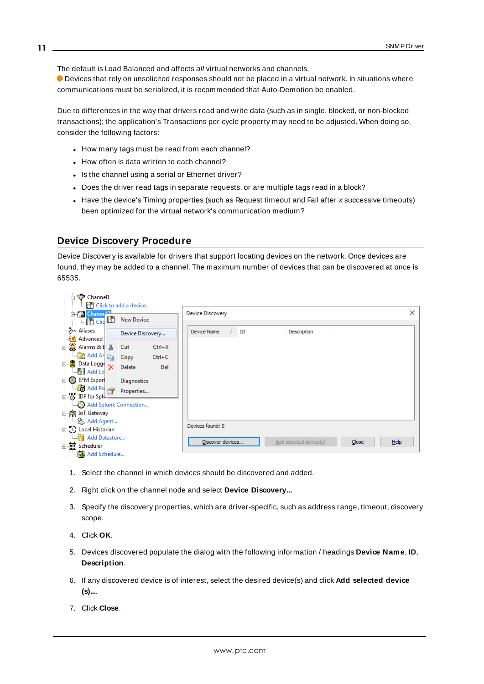The default is Load Balanced and affects all virtual networks and channels.

 Devices that rely on unsolicited responses should not be placed in a virtual network. In situations where communications must be serialized, it is recommended that Auto-Demotion be enabled.

Due to differences in the way that drivers read and write data (such as in single, blocked, or non-blocked transactions); the application's Transactions per cycle property may need to be adjusted. When doing so, consider the following factors:

- How many tags must be read from each channel?
- How often is data written to each channel?
- Is the channel using a serial or Ethernet driver?
- Does the driver read tags in separate requests, or are multiple tags read in a block?
- Have the device's Timing properties (such as Request timeout and Fail after x successive timeouts) been optimized for the virtual network's communication medium?

#### <span id="page-10-0"></span>**Device Discovery Procedure**

Device Discovery is available for drivers that support locating devices on the network. Once devices are found, they may be added to a channel. The maximum number of devices that can be discovered at once is 65535.

|  | 白 中 Channel1                                                                                        | <b>Example 2</b> Click to add a device.                                    |          |                                                             |          |
|--|-----------------------------------------------------------------------------------------------------|----------------------------------------------------------------------------|----------|-------------------------------------------------------------|----------|
|  | <b>En Channel</b><br>$\Box$ $\overline{\mathbf{m}}$ $\overline{\mathbf{m}}$ $\overline{\mathbf{m}}$ | New Device                                                                 |          | Device Discovery                                            | $\times$ |
|  | Aliases ∘و\$…<br><b>A</b> Advanced                                                                  | Device Discovery                                                           |          | Device Name<br>ID<br>Description                            |          |
|  | 白 ( Alarms & E X                                                                                    | Cut                                                                        | $Ctrl+X$ |                                                             |          |
|  |                                                                                                     | $\left \frac{d}{dx}\right $ Add Ar $\left \frac{d}{dx}\right $ Copy Ctrl+C |          |                                                             |          |
|  | $\overline{\mathbb{B}}$ Data Logge $\times$                                                         | Delete                                                                     | Del      |                                                             |          |
|  | <b>Add Lo</b>                                                                                       |                                                                            |          |                                                             |          |
|  | $\Box$ CD EFM Export                                                                                | Diagnostics                                                                |          |                                                             |          |
|  | <b>Fo</b> Add Po and                                                                                | Properties                                                                 |          |                                                             |          |
|  | <b>B</b> IDF for Splu                                                                               |                                                                            |          |                                                             |          |
|  |                                                                                                     | Add Splunk Connection                                                      |          |                                                             |          |
|  | 白 — IoT Gateway                                                                                     |                                                                            |          |                                                             |          |
|  | ैं Add Agent                                                                                        |                                                                            |          | Devices found: 0                                            |          |
|  | 白(C) Local Historian                                                                                |                                                                            |          |                                                             |          |
|  | <b>Add Datastore</b>                                                                                |                                                                            |          | Discover devices<br>Add selected device(s)<br>Close<br>Help |          |
|  | G Scheduler<br><b>Add Schedule</b>                                                                  |                                                                            |          |                                                             |          |

- 1. Select the channel in which devices should be discovered and added.
- 2. Right click on the channel node and select **Device Discovery...**
- 3. Specify the discovery properties, which are driver-specific, such as address range, timeout, discovery scope.
- 4. Click **OK**.
- 5. Devices discovered populate the dialog with the following information / headings **Device Name**, **ID**, **Description**.
- 6. If any discovered device is of interest, select the desired device(s) and click **Add selected device (s)...**.
- 7. Click **Close**.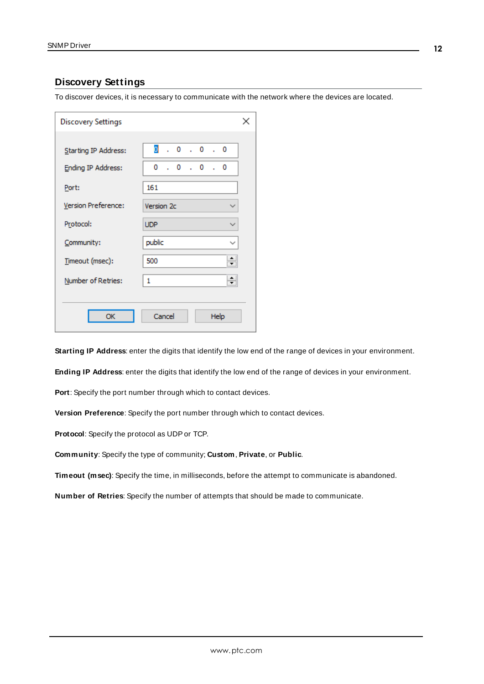# <span id="page-11-0"></span>**Discovery Settings**

To discover devices, it is necessary to communicate with the network where the devices are located.

| <b>Discovery Settings</b> |                                    | × |
|---------------------------|------------------------------------|---|
|                           | $\overline{0}$ , 0, 0, 0           |   |
| Starting IP Address:      |                                    |   |
| <b>Ending IP Address:</b> | 0<br>$\cdot$ 0 $\cdot$ 0 $\cdot$ 0 |   |
| Port:                     | 161                                |   |
| Version Preference:       | Version 2c                         |   |
| Protocol:                 | <b>UDP</b>                         |   |
| Community:                | public<br>$\checkmark$             |   |
| Timeout (msec):           | ۰<br>500                           |   |
| Number of Retries:        | $\div$<br>1                        |   |
|                           |                                    |   |
| ОК                        | Cancel<br>Help                     |   |

**Starting IP Address**: enter the digits that identify the low end of the range of devices in your environment.

**Ending IP Address**: enter the digits that identify the low end of the range of devices in your environment.

**Port**: Specify the port number through which to contact devices.

**Version Preference**: Specify the port number through which to contact devices.

**Protocol**: Specify the protocol as UDPor TCP.

**Community**: Specify the type of community; **Custom**, **Private**, or **Public**.

**Timeout (msec)**: Specify the time, in milliseconds, before the attempt to communicate is abandoned.

**Number of Retries**: Specify the number of attempts that should be made to communicate.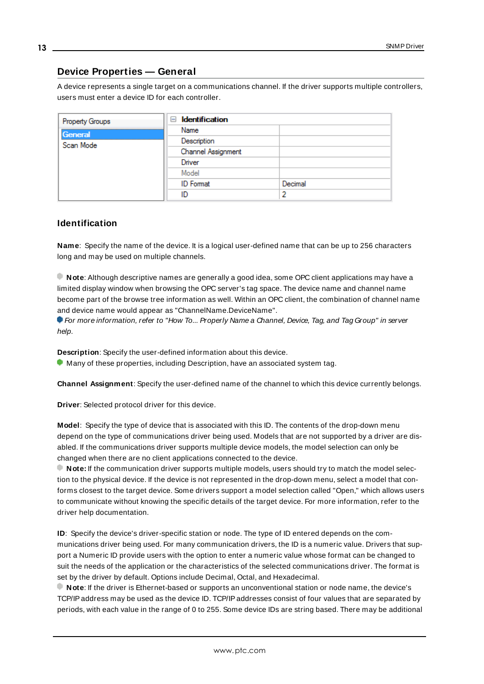# <span id="page-12-0"></span>**Device Properties — General**

A device represents a single target on a communications channel. If the driver supports multiple controllers, users must enter a device ID for each controller.

| <b>Property Groups</b> | <b>Identification</b><br>н |         |
|------------------------|----------------------------|---------|
| General                | Name                       |         |
| Scan Mode              | Description                |         |
|                        | Channel Assignment         |         |
|                        | Driver                     |         |
|                        | Model                      |         |
|                        | <b>ID</b> Format           | Decimal |
|                        | ID                         |         |

### <span id="page-12-6"></span><span id="page-12-4"></span>**Identification**

**Name**: Specify the name of the device. It is a logical user-defined name that can be up to 256 characters long and may be used on multiple channels.

**Note**: Although descriptive names are generally a good idea, some OPC client applications may have a limited display window when browsing the OPC server's tag space. The device name and channel name become part of the browse tree information as well. Within an OPC client, the combination of channel name and device name would appear as "ChannelName.DeviceName".

For more information, refer to "How To... Properly Name a Channel, Device, Tag, and Tag Group" in server help.

**Description**: Specify the user-defined information about this device.

<span id="page-12-1"></span>**Many of these properties, including Description, have an associated system tag.** 

<span id="page-12-2"></span>**Channel Assignment**: Specify the user-defined name of the channel to which this device currently belongs.

<span id="page-12-5"></span>**Driver**: Selected protocol driver for this device.

**Model**: Specify the type of device that is associated with this ID. The contents of the drop-down menu depend on the type of communications driver being used. Models that are not supported by a driver are disabled. If the communications driver supports multiple device models, the model selection can only be changed when there are no client applications connected to the device.

**Note:** If the communication driver supports multiple models, users should try to match the model selection to the physical device. If the device is not represented in the drop-down menu, select a model that conforms closest to the target device. Some drivers support a model selection called "Open," which allows users to communicate without knowing the specific details of the target device. For more information, refer to the driver help documentation.

<span id="page-12-3"></span>**ID**: Specify the device's driver-specific station or node. The type of ID entered depends on the communications driver being used. For many communication drivers, the ID is a numeric value. Drivers that support a Numeric ID provide users with the option to enter a numeric value whose format can be changed to suit the needs of the application or the characteristics of the selected communications driver. The format is set by the driver by default. Options include Decimal, Octal, and Hexadecimal.

**Note**: If the driver is Ethernet-based or supports an unconventional station or node name, the device's TCP/IPaddress may be used as the device ID. TCP/IPaddresses consist of four values that are separated by periods, with each value in the range of 0 to 255. Some device IDs are string based. There may be additional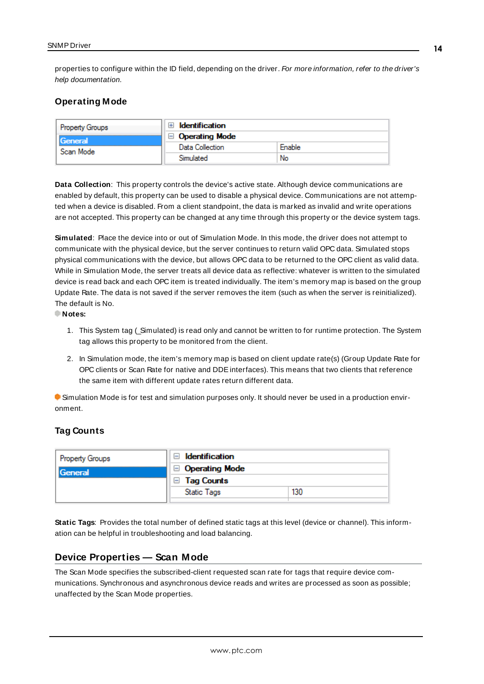properties to configure within the ID field, depending on the driver. For more information, refer to the driver's help documentation.

### <span id="page-13-0"></span>**Operating Mode**

| Property Groups             | <b>Identification</b> |        |
|-----------------------------|-----------------------|--------|
| <b>General</b><br>Scan Mode | <b>Operating Mode</b> |        |
|                             | Data Collection       | Enable |
|                             | Simulated             | No     |

<span id="page-13-3"></span>**Data Collection**: This property controls the device's active state. Although device communications are enabled by default, this property can be used to disable a physical device. Communications are not attempted when a device is disabled. From a client standpoint, the data is marked as invalid and write operations are not accepted. This property can be changed at any time through this property or the device system tags.

<span id="page-13-4"></span>**Simulated**: Place the device into or out of Simulation Mode. In this mode, the driver does not attempt to communicate with the physical device, but the server continues to return valid OPC data. Simulated stops physical communications with the device, but allows OPC data to be returned to the OPC client as valid data. While in Simulation Mode, the server treats all device data as reflective: whatever is written to the simulated device is read back and each OPC item is treated individually. The item's memory map is based on the group Update Rate. The data is not saved if the server removes the item (such as when the server is reinitialized). The default is No.

**Notes:**

- 1. This System tag (\_Simulated) is read only and cannot be written to for runtime protection. The System tag allows this property to be monitored from the client.
- 2. In Simulation mode, the item's memory map is based on client update rate(s) (Group Update Rate for OPC clients or Scan Rate for native and DDEinterfaces). This means that two clients that reference the same item with different update rates return different data.

 Simulation Mode is for test and simulation purposes only. It should never be used in a production environment.

#### <span id="page-13-1"></span>**Tag Counts**

| <b>Property Groups</b> | Identification<br>$\Box$ Operating Mode<br><b>Tag Counts</b> |     |
|------------------------|--------------------------------------------------------------|-----|
| General                |                                                              |     |
|                        |                                                              |     |
|                        | Static Tags                                                  | 130 |
|                        |                                                              |     |

**Static Tags**: Provides the total number of defined static tags at this level (device or channel). This information can be helpful in troubleshooting and load balancing.

## <span id="page-13-2"></span>**Device Properties — Scan Mode**

The Scan Mode specifies the subscribed-client requested scan rate for tags that require device communications. Synchronous and asynchronous device reads and writes are processed as soon as possible; unaffected by the Scan Mode properties.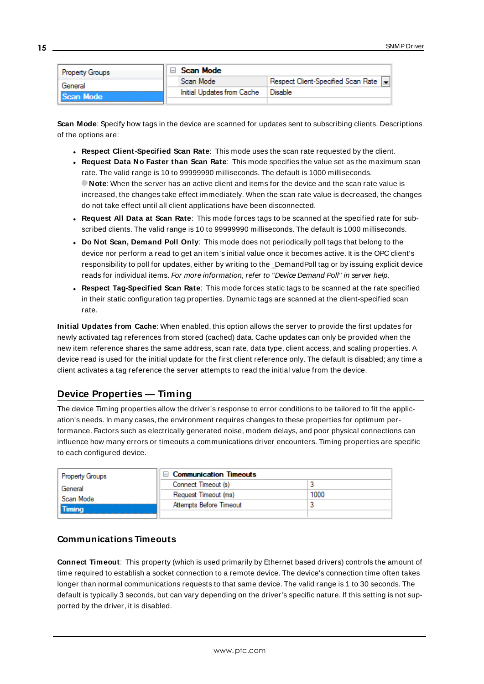| <b>Property Groups</b>      |  | Scan Mode                  |                                    |  |
|-----------------------------|--|----------------------------|------------------------------------|--|
| General<br><b>Scan Mode</b> |  | Scan Mode                  | Respect Client-Specified Scan Rate |  |
|                             |  | Initial Updates from Cache | Disable                            |  |
|                             |  |                            |                                    |  |

<span id="page-14-6"></span>**Scan Mode**: Specify how tags in the device are scanned for updates sent to subscribing clients. Descriptions of the options are:

- <sup>l</sup> **Respect Client-Specified Scan Rate**: This mode uses the scan rate requested by the client.
- <sup>l</sup> **Request Data No Faster than Scan Rate**: This mode specifies the value set as the maximum scan rate. The valid range is 10 to 99999990 milliseconds. The default is 1000 milliseconds. **Note**: When the server has an active client and items for the device and the scan rate value is increased, the changes take effect immediately. When the scan rate value is decreased, the changes do not take effect until all client applications have been disconnected.
- <sup>l</sup> **Request All Data at Scan Rate**: This mode forces tags to be scanned at the specified rate for subscribed clients. The valid range is 10 to 99999990 milliseconds. The default is 1000 milliseconds.
- <span id="page-14-3"></span><sup>l</sup> **Do Not Scan, Demand Poll Only**: This mode does not periodically poll tags that belong to the device nor perform a read to get an item's initial value once it becomes active. It is the OPC client's responsibility to poll for updates, either by writing to the \_DemandPoll tag or by issuing explicit device reads for individual items. For more information, refer to "Device Demand Poll" in server help.
- <span id="page-14-5"></span><sup>l</sup> **Respect Tag-Specified Scan Rate**: This mode forces static tags to be scanned at the rate specified in their static configuration tag properties. Dynamic tags are scanned at the client-specified scan rate.

<span id="page-14-4"></span>**Initial Updates from Cache**: When enabled, this option allows the server to provide the first updates for newly activated tag references from stored (cached) data. Cache updates can only be provided when the new item reference shares the same address, scan rate, data type, client access, and scaling properties. A device read is used for the initial update for the first client reference only. The default is disabled; any time a client activates a tag reference the server attempts to read the initial value from the device.

# <span id="page-14-1"></span><span id="page-14-0"></span>**Device Properties — Timing**

The device Timing properties allow the driver's response to error conditions to be tailored to fit the application's needs. In many cases, the environment requires changes to these properties for optimum performance. Factors such as electrically generated noise, modem delays, and poor physical connections can influence how many errors or timeouts a communications driver encounters. Timing properties are specific to each configured device.

| Property Groups            | $\Box$ Communication Timeouts |      |
|----------------------------|-------------------------------|------|
| General                    | Connect Timeout (s)           |      |
| Scan Mode<br><b>Timina</b> | Request Timeout (ms)          | 1000 |
|                            | Attempts Before Timeout       |      |
|                            |                               |      |

#### <span id="page-14-2"></span>**Communications Timeouts**

**Connect Timeout**: This property (which is used primarily by Ethernet based drivers) controls the amount of time required to establish a socket connection to a remote device. The device's connection time often takes longer than normal communications requests to that same device. The valid range is 1 to 30 seconds. The default is typically 3 seconds, but can vary depending on the driver's specific nature. If this setting is not supported by the driver, it is disabled.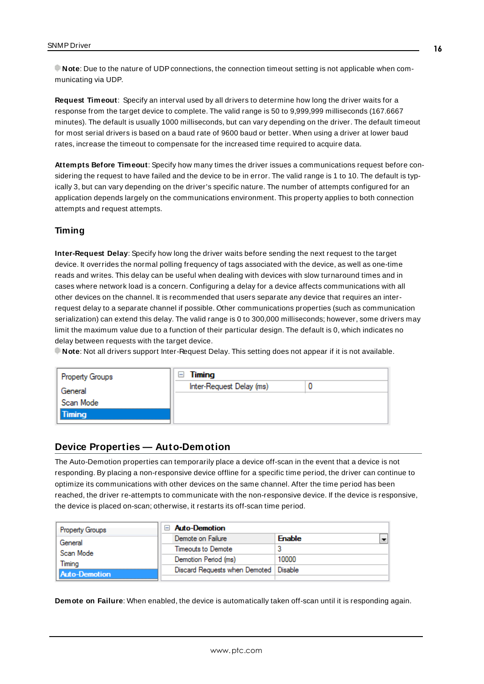**Note**: Due to the nature of UDPconnections, the connection timeout setting is not applicable when communicating via UDP.

<span id="page-15-3"></span>**Request Timeout**: Specify an interval used by all drivers to determine how long the driver waits for a response from the target device to complete. The valid range is 50 to 9,999,999 milliseconds (167.6667 minutes). The default is usually 1000 milliseconds, but can vary depending on the driver. The default timeout for most serial drivers is based on a baud rate of 9600 baud or better. When using a driver at lower baud rates, increase the timeout to compensate for the increased time required to acquire data.

<span id="page-15-1"></span>**Attempts Before Timeout**: Specify how many times the driver issues a communications request before considering the request to have failed and the device to be in error. The valid range is 1 to 10. The default is typically 3, but can vary depending on the driver's specific nature. The number of attempts configured for an application depends largely on the communications environment. This property applies to both connection attempts and request attempts.

## **Timing**

**Inter-Request Delay**: Specify how long the driver waits before sending the next request to the target device. It overrides the normal polling frequency of tags associated with the device, as well as one-time reads and writes. This delay can be useful when dealing with devices with slow turnaround times and in cases where network load is a concern. Configuring a delay for a device affects communications with all other devices on the channel. It is recommended that users separate any device that requires an interrequest delay to a separate channel if possible. Other communications properties (such as communication serialization) can extend this delay. The valid range is 0 to 300,000 milliseconds; however, some drivers may limit the maximum value due to a function of their particular design. The default is 0, which indicates no delay between requests with the target device.

**Note**: Not all drivers support Inter-Request Delay. This setting does not appear if it is not available.

| <b>Property Groups</b> | Timing<br>н              |  |
|------------------------|--------------------------|--|
| General                | Inter-Request Delay (ms) |  |
| Scan Mode              |                          |  |
| Timing                 |                          |  |
|                        |                          |  |

#### <span id="page-15-0"></span>**Device Properties — Auto-Demotion**

The Auto-Demotion properties can temporarily place a device off-scan in the event that a device is not responding. By placing a non-responsive device offline for a specific time period, the driver can continue to optimize its communications with other devices on the same channel. After the time period has been reached, the driver re-attempts to communicate with the non-responsive device. If the device is responsive, the device is placed on-scan; otherwise, it restarts its off-scan time period.

| <b>Property Groups</b> | $\Box$ Auto-Demotion                    |               |
|------------------------|-----------------------------------------|---------------|
| General                | Demote on Failure                       | <b>Enable</b> |
| Scan Mode              | Timeouts to Demote                      |               |
| Timina                 | Demotion Period (ms)                    | 10000         |
| <b>Auto-Demotion</b>   | Discard Requests when Demoted   Disable |               |
|                        |                                         |               |

<span id="page-15-2"></span>**Demote on Failure**: When enabled, the device is automatically taken off-scan until it is responding again.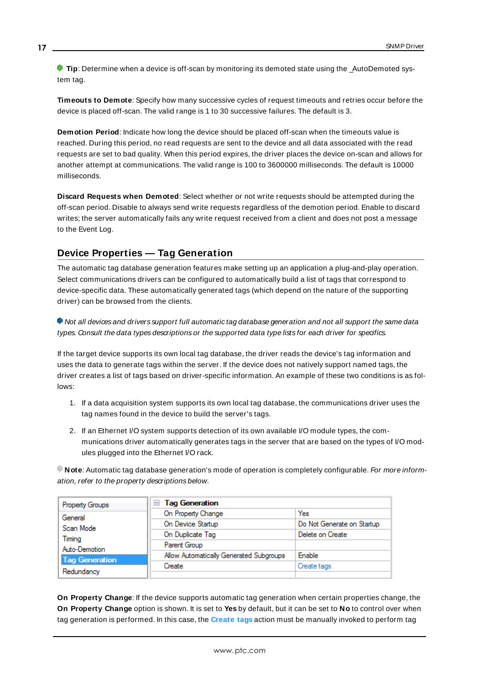**Tip:** Determine when a device is off-scan by monitoring its demoted state using the AutoDemoted system tag.

<span id="page-16-3"></span>**Timeouts to Demote**: Specify how many successive cycles of request timeouts and retries occur before the device is placed off-scan. The valid range is 1 to 30 successive failures. The default is 3.

<span id="page-16-1"></span>**Demotion Period**: Indicate how long the device should be placed off-scan when the timeouts value is reached. During this period, no read requests are sent to the device and all data associated with the read requests are set to bad quality. When this period expires, the driver places the device on-scan and allows for another attempt at communications. The valid range is 100 to 3600000 milliseconds. The default is 10000 milliseconds.

<span id="page-16-2"></span>**Discard Requests when Demoted**: Select whether or not write requests should be attempted during the off-scan period. Disable to always send write requests regardless of the demotion period. Enable to discard writes; the server automatically fails any write request received from a client and does not post a message to the Event Log.

# <span id="page-16-0"></span>**Device Properties — Tag Generation**

The automatic tag database generation features make setting up an application a plug-and-play operation. Select communications drivers can be configured to automatically build a list of tags that correspond to device-specific data. These automatically generated tags (which depend on the nature of the supporting driver) can be browsed from the clients.

Not all devices and drivers support full automatic tag database generation and not all support the same data types. Consult the data types descriptions or the supported data type lists for each driver for specifics.

If the target device supports its own local tag database, the driver reads the device's tag information and uses the data to generate tags within the server. If the device does not natively support named tags, the driver creates a list of tags based on driver-specific information. An example of these two conditions is as follows:

- 1. If a data acquisition system supports its own local tag database, the communications driver uses the tag names found in the device to build the server's tags.
- 2. If an Ethernet I/O system supports detection of its own available I/O module types, the communications driver automatically generates tags in the server that are based on the types of I/O modules plugged into the Ethernet I/O rack.

**Note**: Automatic tag database generation's mode of operation is completely configurable. For more information, refer to the property descriptions below.

| Property Groups       | <b>Tag Generation</b><br>н              |                            |  |
|-----------------------|-----------------------------------------|----------------------------|--|
| General               | On Property Change                      | Yes                        |  |
| Scan Mode             | On Device Startup                       | Do Not Generate on Startup |  |
| Timina                | On Duplicate Tag                        | Delete on Create           |  |
| Auto-Demotion         | Parent Group                            |                            |  |
| <b>Tag Generation</b> | Allow Automatically Generated Subgroups | Enable                     |  |
|                       | Create                                  | Create tags                |  |
| Redundancy            |                                         |                            |  |

**On Property Change**: If the device supports automatic tag generation when certain properties change, the **On Property Change** option is shown. It is set to **Yes** by default, but it can be set to **No** to control over when tag generation is performed. In this case, the **Create tags** action must be manually invoked to perform tag

**17**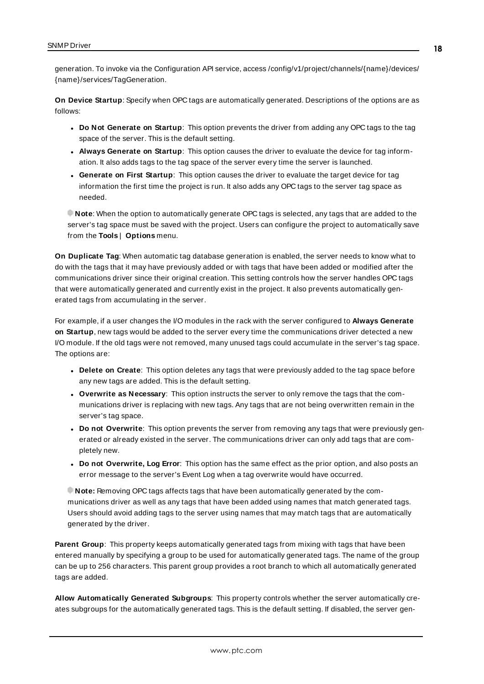<span id="page-17-4"></span>generation. To invoke via the Configuration API service, access /config/v1/project/channels/{name}/devices/ {name}/services/TagGeneration.

<span id="page-17-2"></span>**On Device Startup**: Specify when OPC tags are automatically generated. Descriptions of the options are as follows:

- <span id="page-17-1"></span><sup>l</sup> **Do Not Generate on Startup**: This option prevents the driver from adding any OPC tags to the tag space of the server. This is the default setting.
- <sup>l</sup> **Always Generate on Startup**: This option causes the driver to evaluate the device for tag information. It also adds tags to the tag space of the server every time the server is launched.
- <sup>l</sup> **Generate on First Startup**: This option causes the driver to evaluate the target device for tag information the first time the project is run. It also adds any OPC tags to the server tag space as needed.

**Note**: When the option to automatically generate OPC tags is selected, any tags that are added to the server's tag space must be saved with the project. Users can configure the project to automatically save from the **Tools** | **Options** menu.

<span id="page-17-3"></span>**On Duplicate Tag**: When automatic tag database generation is enabled, the server needs to know what to do with the tags that it may have previously added or with tags that have been added or modified after the communications driver since their original creation. This setting controls how the server handles OPC tags that were automatically generated and currently exist in the project. It also prevents automatically generated tags from accumulating in the server.

For example, if a user changes the I/O modules in the rack with the server configured to **Always Generate on Startup**, new tags would be added to the server every time the communications driver detected a new I/O module. If the old tags were not removed, many unused tags could accumulate in the server's tag space. The options are:

- <span id="page-17-0"></span>**• Delete on Create**: This option deletes any tags that were previously added to the tag space before any new tags are added. This is the default setting.
- <span id="page-17-5"></span><sup>l</sup> **Overwrite as Necessary**: This option instructs the server to only remove the tags that the communications driver is replacing with new tags. Any tags that are not being overwritten remain in the server's tag space.
- **Do** not Overwrite: This option prevents the server from removing any tags that were previously generated or already existed in the server. The communications driver can only add tags that are completely new.
- <sup>l</sup> **Do not Overwrite, Log Error**: This option has the same effect as the prior option, and also posts an error message to the server's Event Log when a tag overwrite would have occurred.

**Note:** Removing OPC tags affects tags that have been automatically generated by the communications driver as well as any tags that have been added using names that match generated tags. Users should avoid adding tags to the server using names that may match tags that are automatically generated by the driver.

<span id="page-17-6"></span>**Parent Group**: This property keeps automatically generated tags from mixing with tags that have been entered manually by specifying a group to be used for automatically generated tags. The name of the group can be up to 256 characters. This parent group provides a root branch to which all automatically generated tags are added.

**Allow Automatically Generated Subgroups**: This property controls whether the server automatically creates subgroups for the automatically generated tags. This is the default setting. If disabled, the server gen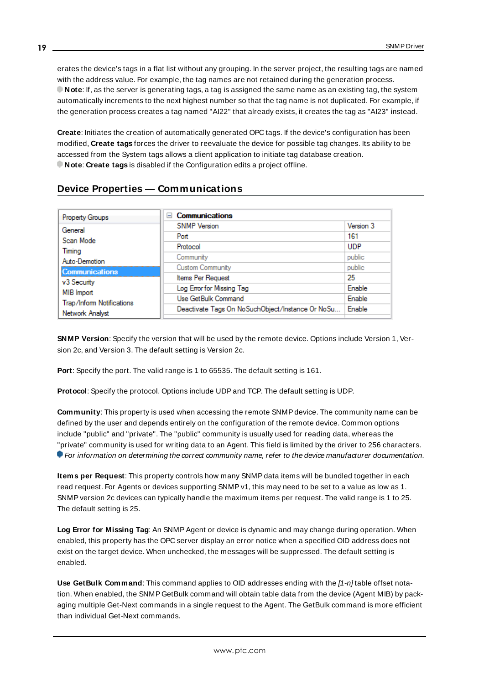<span id="page-18-3"></span>erates the device's tags in a flat list without any grouping. In the server project, the resulting tags are named with the address value. For example, the tag names are not retained during the generation process. **Note**: If, as the server is generating tags, a tag is assigned the same name as an existing tag, the system automatically increments to the next highest number so that the tag name is not duplicated. For example, if the generation process creates a tag named "AI22" that already exists, it creates the tag as "AI23" instead.

<span id="page-18-4"></span>**Create**: Initiates the creation of automatically generated OPC tags. If the device's configuration has been modified, **Create tags** forces the driver to reevaluate the device for possible tag changes. Its ability to be accessed from the System tags allows a client application to initiate tag database creation. **Note**: **Create tags** is disabled if the Configuration edits a project offline.

# <span id="page-18-0"></span>**Device Properties — Communications**

| Property Groups                              | <b>Communications</b><br>н                       |            |
|----------------------------------------------|--------------------------------------------------|------------|
| General                                      | <b>SNMP</b> Version                              | Version 3  |
| Scan Mode                                    | Port                                             | 161        |
| Timina                                       | Protocol                                         | <b>UDP</b> |
| Auto-Demotion                                | Community                                        | public     |
| Communications                               | Custom Community                                 | public     |
|                                              | Items Per Request                                | 25         |
| v3 Security                                  | Log Error for Missing Tag                        | Enable     |
| MIB Import                                   | Use GetBulk Command                              | Enable     |
| Trap/Inform Notifications<br>Network Analyst | Deactivate Tags On NoSuchObject/Instance Or NoSu | Enable     |

**SNMP Version**: Specify the version that will be used by the remote device. Options include Version 1, Version 2c, and Version 3. The default setting is Version 2c.

<span id="page-18-2"></span><span id="page-18-1"></span>**Port**: Specify the port. The valid range is 1 to 65535. The default setting is 161.

**Protocol**: Specify the protocol. Options include UDPand TCP. The default setting is UDP.

**Community**: This property is used when accessing the remote SNMPdevice. The community name can be defined by the user and depends entirely on the configuration of the remote device. Common options include "public" and "private". The "public" community is usually used for reading data, whereas the "private" community is used for writing data to an Agent. This field is limited by the driver to 256 characters. **• For information on determining the correct community name, refer to the device manufacturer documentation.** 

**Items per Request**: This property controls how many SNMPdata items will be bundled together in each read request. For Agents or devices supporting SNMPv1, this may need to be set to a value as low as 1. SNMPversion 2c devices can typically handle the maximum items per request. The valid range is 1 to 25. The default setting is 25.

**Log Error for Missing Tag**: An SNMPAgent or device is dynamic and may change during operation. When enabled, this property has the OPC server display an error notice when a specified OID address does not exist on the target device. When unchecked, the messages will be suppressed. The default setting is enabled.

**Use GetBulk Command**: This command applies to OID addresses ending with the [1-n] table offset notation. When enabled, the SNMP GetBulk command will obtain table data from the device (Agent MIB) by packaging multiple Get-Next commands in a single request to the Agent. The GetBulk command is more efficient than individual Get-Next commands.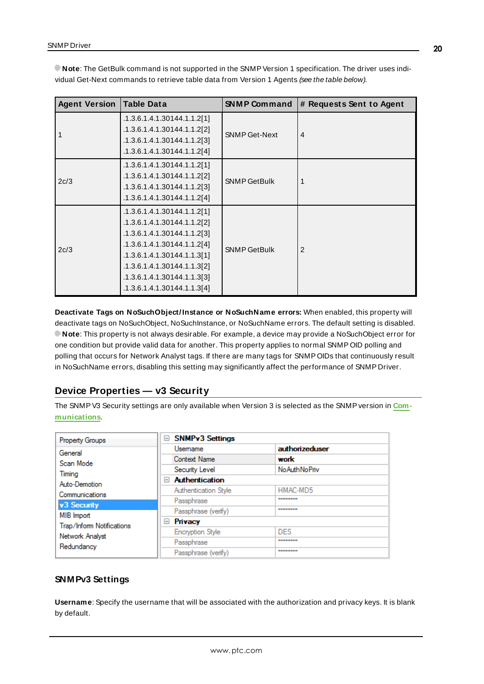| <b>Agent Version</b> | Table Data                                                                                                                                                                                                                                           | <b>SNMP Command</b>  | # Requests Sent to Agent |
|----------------------|------------------------------------------------------------------------------------------------------------------------------------------------------------------------------------------------------------------------------------------------------|----------------------|--------------------------|
|                      | .1.3.6.1.4.1.30144.1.1.2[1]<br>.1.3.6.1.4.1.30144.1.1.2[2]<br>.1.3.6.1.4.1.30144.1.1.2[3]<br>.1.3.6.1.4.1.30144.1.1.2[4]                                                                                                                             | <b>SNMP Get-Next</b> | $\overline{4}$           |
| 2c/3                 | .1.3.6.1.4.1.30144.1.1.2[1]<br>.1.3.6.1.4.1.30144.1.1.2[2]<br>.1.3.6.1.4.1.30144.1.1.2[3]<br>.1.3.6.1.4.1.30144.1.1.2[4]                                                                                                                             | <b>SNMP GetBulk</b>  |                          |
| 2c/3                 | .1.3.6.1.4.1.30144.1.1.2[1]<br>.1.3.6.1.4.1.30144.1.1.2[2]<br>.1.3.6.1.4.1.30144.1.1.2[3]<br>.1.3.6.1.4.1.30144.1.1.2[4]<br>.1.3.6.1.4.1.30144.1.1.3[1]<br>.1.3.6.1.4.1.30144.1.1.3[2]<br>.1.3.6.1.4.1.30144.1.1.3[3]<br>.1.3.6.1.4.1.30144.1.1.3[4] | <b>SNMP GetBulk</b>  | $\mathfrak{p}$           |

**Note**: The GetBulk command is not supported in the SNMPVersion 1 specification. The driver uses individual Get-Next commands to retrieve table data from Version 1 Agents (see the table below).

**Deactivate Tags on NoSuchObject/Instance or NoSuchName errors:** When enabled, this property will deactivate tags on NoSuchObject, NoSuchInstance, or NoSuchName errors. The default setting is disabled. **Note**: This property is not always desirable. For example, a device may provide a NoSuchObject error for one condition but provide valid data for another. This property applies to normal SNMP OID polling and polling that occurs for Network Analyst tags. If there are many tags for SNMP OIDs that continuously result in NoSuchName errors, disabling this setting may significantly affect the performance of SNMP Driver.

# <span id="page-19-0"></span>**Device Properties — v3 Security**

The SNMPV3 Security settings are only available when Version 3 is selected as the SNMPversion in **[Com](#page-18-0)[munications](#page-18-0)**.

| Property Groups           | $=$      | <b>SNMPv3 Settings</b>  |                        |
|---------------------------|----------|-------------------------|------------------------|
| General                   |          | Usemame                 | authorizeduser         |
| Scan Mode                 |          | Context Name            | work                   |
| Timing                    |          | Security Level          | <b>No Auth No Priv</b> |
| Auto-Demotion             | $\equiv$ | <b>Authentication</b>   |                        |
| Communications            |          | Authentication Style    | HMAC-MD5               |
| v <sub>3</sub> Security   |          | Passphrase              | --------               |
| MIB Import                |          | Passphrase (verify)     | --------               |
| Trap/Inform Notifications | $=$      | Privacy                 |                        |
| Network Analyst           |          | <b>Encryption Style</b> | <b>DES</b>             |
| Redundancy                |          | Passphrase              | --------               |
|                           |          | Passphrase (verify)     | --------               |

## <span id="page-19-1"></span>**SNMPv3 Settings**

**Username**: Specify the username that will be associated with the authorization and privacy keys. It is blank by default.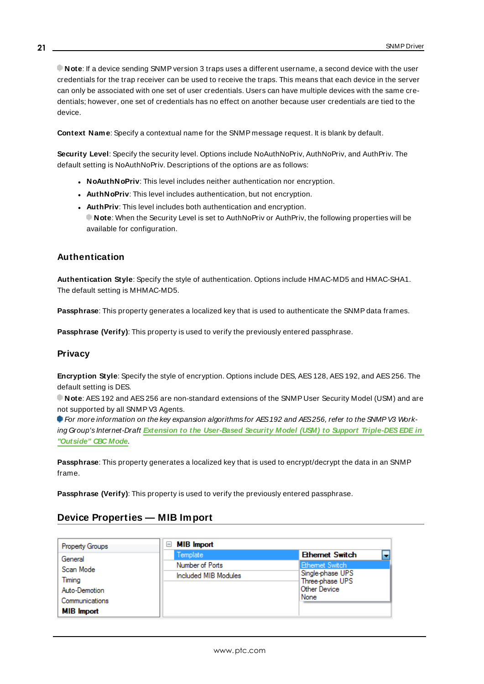**Note**: If a device sending SNMPversion 3 traps uses a different username, a second device with the user credentials for the trap receiver can be used to receive the traps. This means that each device in the server can only be associated with one set of user credentials. Users can have multiple devices with the same credentials; however, one set of credentials has no effect on another because user credentials are tied to the device.

<span id="page-20-4"></span>**Context Name**: Specify a contextual name for the SNMP message request. It is blank by default.

**Security Level**: Specify the security level. Options include NoAuthNoPriv, AuthNoPriv, and AuthPriv. The default setting is NoAuthNoPriv. Descriptions of the options are as follows:

- <span id="page-20-5"></span><span id="page-20-2"></span>**.** NoAuthNoPriv: This level includes neither authentication nor encryption.
- <span id="page-20-3"></span>**AuthNoPriv:** This level includes authentication, but not encryption.
- **AuthPriv**: This level includes both authentication and encryption. **Note**: When the Security Level is set to AuthNoPriv or AuthPriv, the following properties will be available for configuration.

### <span id="page-20-1"></span>**Authentication**

**Authentication Style**: Specify the style of authentication. Options include HMAC-MD5 and HMAC-SHA1. The default setting is MHMAC-MD5.

**Passphrase**: This property generates a localized key that is used to authenticate the SNMPdata frames.

<span id="page-20-7"></span>**Passphrase (Verify)**: This property is used to verify the previously entered passphrase.

#### **Privacy**

**Encryption Style**: Specify the style of encryption. Options include DES, AES 128, AES 192, and AES 256. The default setting is DES.

**Note**: AES192 and AES256 are non-standard extensions of the SNMP User Security Model (USM) and are not supported by all SNMPV3 Agents.

For more information on the key expansion algorithms for AES192 and AES256, refer to the SNMPV3 Working Group's Internet-Draft **Extension to the User-Based Security Model (USM) to Support [Triple-DESEDE](http://www.snmp.com/eso/draft-reeder-snmpv3-usm-3desede-00.txt) in ["Outside"](http://www.snmp.com/eso/draft-reeder-snmpv3-usm-3desede-00.txt) CBC Mode**.

<span id="page-20-6"></span>**Passphrase**: This property generates a localized key that is used to encrypt/decrypt the data in an SNMP frame.

<span id="page-20-0"></span>**Passphrase (Verify)**: This property is used to verify the previously entered passphrase.

# **Device Properties — MIB Import**

| <b>Property Groups</b> | <b>MIB</b> Import<br>ь |                        |  |
|------------------------|------------------------|------------------------|--|
| General                | Template               | <b>Ethernet Switch</b> |  |
| Scan Mode              | Number of Ports        | Ethemet Switch         |  |
|                        | Included MIB Modules   | Single-phase UPS       |  |
| Timina                 |                        | Three-phase UPS        |  |
| Auto-Demotion          |                        | Other Device           |  |
| Communications         |                        | None                   |  |
| <b>MIB</b> Import      |                        |                        |  |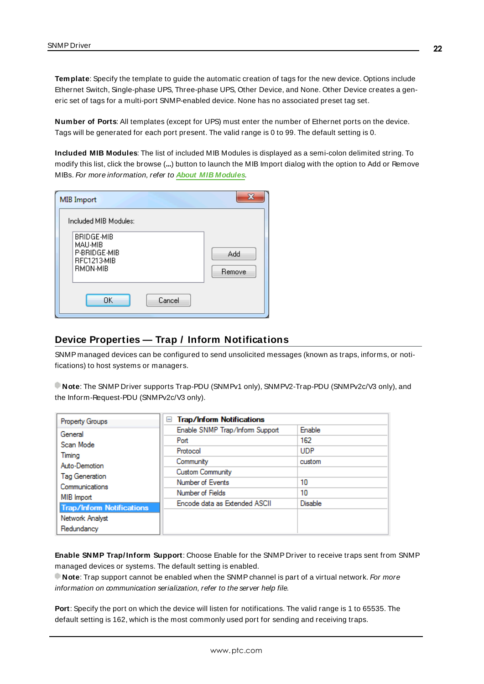**Template**: Specify the template to guide the automatic creation of tags for the new device. Options include Ethernet Switch, Single-phase UPS, Three-phase UPS, Other Device, and None. Other Device creates a generic set of tags for a multi-port SNMP-enabled device. None has no associated preset tag set.

**Number of Ports**: All templates (except for UPS) must enter the number of Ethernet ports on the device. Tags will be generated for each port present. The valid range is 0 to 99. The default setting is 0.

**Included MIB Modules**: The list of included MIB Modules is displayed as a semi-colon delimited string. To modify this list, click the browse (**...**) button to launch the MIB Import dialog with the option to Add or Remove MIBs. For more information, refer to **About MIB [Modules](#page-29-0)**.

| MIB Import                                                                     | x             |
|--------------------------------------------------------------------------------|---------------|
| Included MIB Modules:                                                          |               |
| <b>BRIDGE-MIB</b><br>MAU-MIB<br>P-BRIDGE-MIB<br>RFC1213-MIB<br><b>RMON-MIB</b> | Add<br>Remove |
| OK<br>Cancel                                                                   |               |

#### <span id="page-21-0"></span>**Device Properties — Trap / Inform Notifications**

SNMP managed devices can be configured to send unsolicited messages (known as traps, informs, or notifications) to host systems or managers.

**Note**: The SNMP Driver supports Trap-PDU (SNMPv1 only), SNMPV2-Trap-PDU (SNMPv2c/V3 only), and the Inform-Request-PDU (SNMPv2c/V3 only).

| Property Groups                  | <b>Trap/Inform Notifications</b><br>$=$ |                |
|----------------------------------|-----------------------------------------|----------------|
| General                          | Enable SNMP Trap/Inform Support         | Enable         |
| Scan Mode                        | Port                                    | 162            |
| Timina                           | Protocol                                | <b>UDP</b>     |
| Auto-Demotion                    | Community                               | custom         |
| Tag Generation                   | <b>Custom Community</b>                 |                |
| Communications                   | Number of Events                        | 10             |
| MIB Import                       | Number of Fields                        | 10             |
| <b>Trap/Inform Notifications</b> | Encode data as Extended ASCII           | <b>Disable</b> |
| Network Analyst                  |                                         |                |
| Redundancy                       |                                         |                |

**Enable SNMP Trap/Inform Support**: Choose Enable for the SNMP Driver to receive traps sent from SNMP managed devices or systems. The default setting is enabled.

**Note**: Trap support cannot be enabled when the SNMPchannel is part of a virtual network. For more information on communication serialization, refer to the server help file.

**Port**: Specify the port on which the device will listen for notifications. The valid range is 1 to 65535. The default setting is 162, which is the most commonly used port for sending and receiving traps.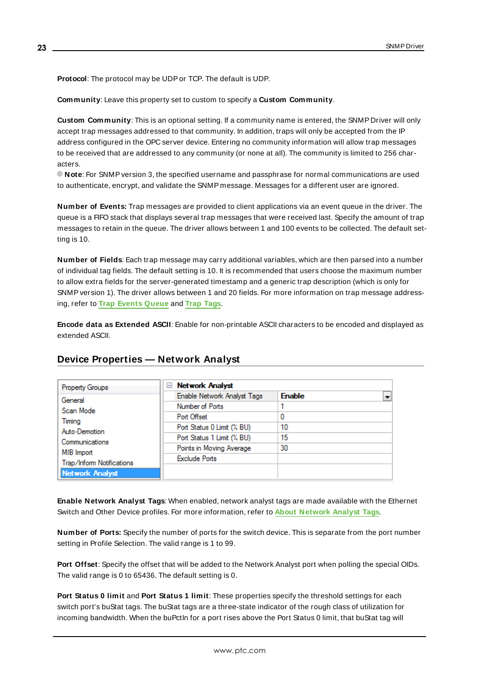**Protocol**: The protocol may be UDPor TCP. The default is UDP.

**Community**: Leave this property set to custom to specify a **Custom Community**.

**Custom Community**: This is an optional setting. If a community name is entered, the SNMP Driver will only accept trap messages addressed to that community. In addition, traps will only be accepted from the IP address configured in the OPC server device. Entering no community information will allow trap messages to be received that are addressed to any community (or none at all). The community is limited to 256 characters.

**Note**: For SNMPversion 3, the specified username and passphrase for normal communications are used to authenticate, encrypt, and validate the SNMP message. Messages for a different user are ignored.

**Number of Events:** Trap messages are provided to client applications via an event queue in the driver. The queue is a FIFO stack that displays several trap messages that were received last. Specify the amount of trap messages to retain in the queue. The driver allows between 1 and 100 events to be collected. The default setting is 10.

**Number of Fields**: Each trap message may carry additional variables, which are then parsed into a number of individual tag fields. The default setting is 10. It is recommended that users choose the maximum number to allow extra fields for the server-generated timestamp and a generic trap description (which is only for SNMPversion 1). The driver allows between 1 and 20 fields. For more information on trap message addressing, refer to **Trap [Events](#page-32-0) Queue** and **Trap [Tags](#page-30-1)**.

**Encode data as Extended ASCII**: Enable for non-printable ASCII characters to be encoded and displayed as extended ASCII.

| Property Groups                         | <b>Network Analyst</b><br>ь |               |
|-----------------------------------------|-----------------------------|---------------|
| General                                 | Enable Network Analyst Tags | <b>Enable</b> |
| Scan Mode                               | Number of Ports             |               |
| Timina                                  | Port Offset                 | 0             |
| Auto-Demotion                           | Port Status 0 Limit (% BU)  | 10            |
|                                         | Port Status 1 Limit (% BU)  | 15            |
| Communications                          | Points in Moving Average    | 30            |
| MIB Import<br>Trap/Inform Notifications | <b>Exclude Ports</b>        |               |
| <b>Network Analyst</b>                  |                             |               |

# <span id="page-22-0"></span>**Device Properties — Network Analyst**

**Enable Network Analyst Tags**: When enabled, network analyst tags are made available with the Ethernet Switch and Other Device profiles. For more information, refer to **About [Network](#page-30-0) Analyst Tags**.

**Number of Ports:** Specify the number of ports for the switch device. This is separate from the port number setting in Profile Selection. The valid range is 1 to 99.

**Port Offset**: Specify the offset that will be added to the Network Analyst port when polling the special OIDs. The valid range is 0 to 65436. The default setting is 0.

**Port Status 0 limit** and **Port Status 1 limit**: These properties specify the threshold settings for each switch port's buStat tags. The buStat tags are a three-state indicator of the rough class of utilization for incoming bandwidth. When the buPctIn for a port rises above the Port Status 0 limit, that buStat tag will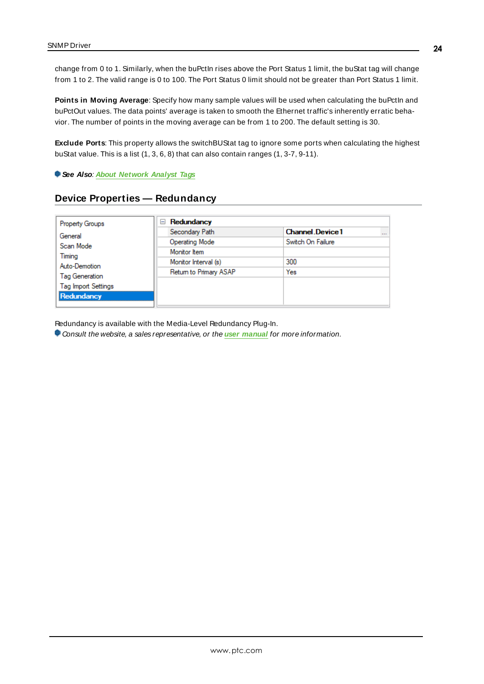change from 0 to 1. Similarly, when the buPctIn rises above the Port Status 1 limit, the buStat tag will change from 1 to 2. The valid range is 0 to 100. The Port Status 0 limit should not be greater than Port Status 1 limit.

**Points in Moving Average**: Specify how many sample values will be used when calculating the buPctIn and buPctOut values. The data points' average is taken to smooth the Ethernet traffic's inherently erratic behavior. The number of points in the moving average can be from 1 to 200. The default setting is 30.

**Exclude Ports**: This property allows the switchBUStat tag to ignore some ports when calculating the highest buStat value. This is a list (1, 3, 6, 8) that can also contain ranges (1, 3-7, 9-11).

<span id="page-23-0"></span>**See Also**: **About [Network](#page-30-0) Analyst Tags**

| <b>Property Groups</b>     | Redundancy<br>$-$      |                            |  |  |
|----------------------------|------------------------|----------------------------|--|--|
| General<br>Scan Mode       | Secondary Path         | <b>Channel Device1</b><br> |  |  |
|                            | <b>Operating Mode</b>  | Switch On Failure          |  |  |
|                            | Monitor Item           |                            |  |  |
| Timing<br>Auto-Demotion    | Monitor Interval (s)   | 300                        |  |  |
|                            | Return to Primary ASAP | Yes                        |  |  |
| <b>Tag Generation</b>      |                        |                            |  |  |
| <b>Tag Import Settings</b> |                        |                            |  |  |
| Redundancy                 |                        |                            |  |  |

Redundancy is available with the Media-Level Redundancy Plug-In.

Consult the website, a sales representative, or the **user [manual](https://www.kepware.com/getattachment/35461efd-b53a-4219-a109-a89fad20b230/media-level-redundancy-manual.pdf)** for more information.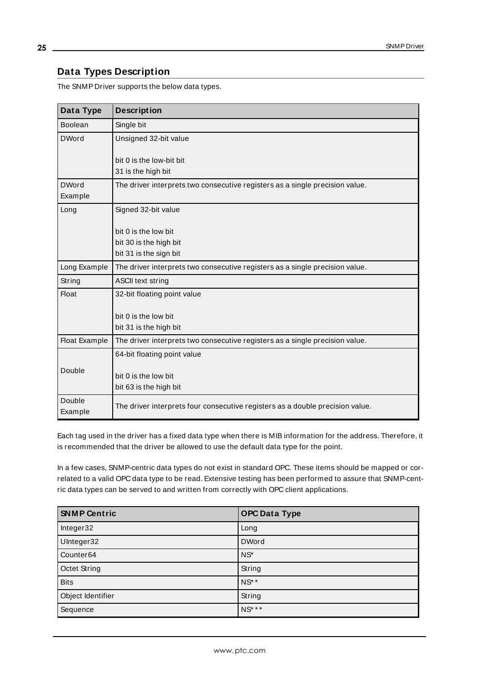# <span id="page-24-0"></span>**Data Types Description**

The SNMP Driver supports the below data types.

| Data Type            | <b>Description</b>                                                            |
|----------------------|-------------------------------------------------------------------------------|
| Boolean              | Single bit                                                                    |
| <b>DWord</b>         | Unsigned 32-bit value                                                         |
|                      | bit 0 is the low-bit bit                                                      |
|                      | 31 is the high bit                                                            |
| <b>DWord</b>         | The driver interprets two consecutive registers as a single precision value.  |
| Example              |                                                                               |
| Long                 | Signed 32-bit value                                                           |
|                      | bit 0 is the low bit                                                          |
|                      | bit 30 is the high bit                                                        |
|                      | bit 31 is the sign bit                                                        |
| Long Example         | The driver interprets two consecutive registers as a single precision value.  |
| String               | <b>ASCII text string</b>                                                      |
| <b>Float</b>         | 32-bit floating point value                                                   |
|                      | bit 0 is the low bit                                                          |
|                      | bit 31 is the high bit                                                        |
| <b>Float Example</b> | The driver interprets two consecutive registers as a single precision value.  |
|                      | 64-bit floating point value                                                   |
| Double               |                                                                               |
|                      | bit 0 is the low bit                                                          |
|                      | bit 63 is the high bit                                                        |
| Double<br>Example    | The driver interprets four consecutive registers as a double precision value. |

Each tag used in the driver has a fixed data type when there is MIB information for the address. Therefore, it is recommended that the driver be allowed to use the default data type for the point.

In a few cases, SNMP-centric data types do not exist in standard OPC. These items should be mapped or correlated to a valid OPC data type to be read. Extensive testing has been performed to assure that SNMP-centric data types can be served to and written from correctly with OPC client applications.

| <b>SNMP Centric</b>   | <b>OPC Data Type</b> |
|-----------------------|----------------------|
| Integer32             | Long                 |
| UInteger32            | <b>DWord</b>         |
| Counter <sub>64</sub> | $NS^*$               |
| Octet String          | String               |
| <b>Bits</b>           | NS**                 |
| Object Identifier     | String               |
| Sequence              | NS* * *              |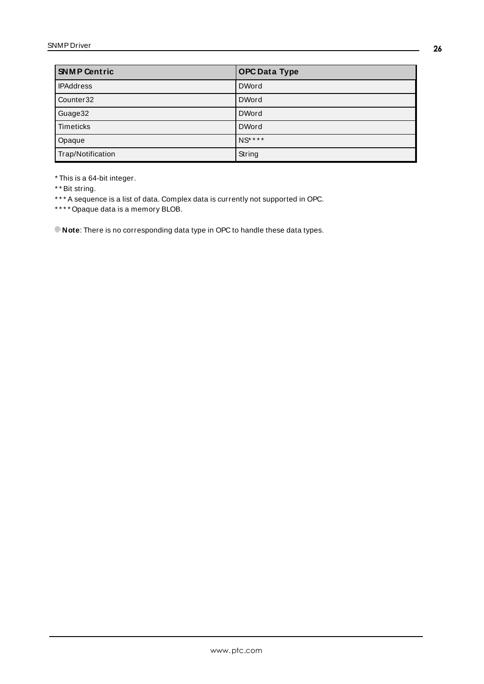| <b>SNMP Centric</b>   | <b>OPC Data Type</b> |
|-----------------------|----------------------|
| <b>IPAddress</b>      | <b>DWord</b>         |
| Counter <sub>32</sub> | <b>DWord</b>         |
| Guage32               | <b>DWord</b>         |
| Timeticks             | <b>DWord</b>         |
| Opaque                | NS* * * *            |
| Trap/Notification     | String               |

\* This is a 64-bit integer.

\* \* Bit string.

\*\*\* A sequence is a list of data. Complex data is currently not supported in OPC.

\* \* \* \* Opaque data is a memory BLOB.

**Note**: There is no corresponding data type in OPC to handle these data types.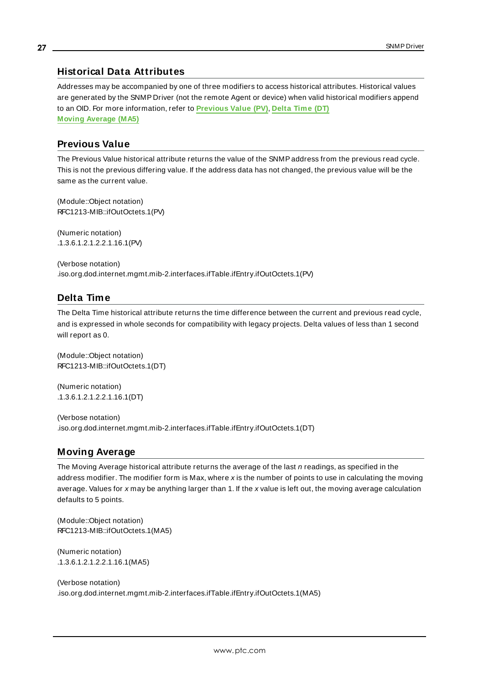## <span id="page-26-0"></span>**Historical Data Attributes**

Addresses may be accompanied by one of three modifiers to access historical attributes. Historical values are generated by the SNMP Driver (not the remote Agent or device) when valid historical modifiers append to an OID. For more information, refer to **[Previous](#page-26-1) Value (PV)**, **[Delta](#page-26-2) Time (DT) Moving [Average](#page-26-3) (MA5)**

## <span id="page-26-1"></span>**Previous Value**

The Previous Value historical attribute returns the value of the SNMPaddress from the previous read cycle. This is not the previous differing value. If the address data has not changed, the previous value will be the same as the current value.

(Module::Object notation) RFC1213-MIB::ifOutOctets.1(PV)

(Numeric notation) .1.3.6.1.2.1.2.2.1.16.1(PV)

(Verbose notation) .iso.org.dod.internet.mgmt.mib-2.interfaces.ifTable.ifEntry.ifOutOctets.1(PV)

# <span id="page-26-2"></span>**Delta Time**

The Delta Time historical attribute returns the time difference between the current and previous read cycle, and is expressed in whole seconds for compatibility with legacy projects. Delta values of less than 1 second will report as 0.

(Module::Object notation) RFC1213-MIB::ifOutOctets.1(DT)

(Numeric notation) .1.3.6.1.2.1.2.2.1.16.1(DT)

(Verbose notation) .iso.org.dod.internet.mgmt.mib-2.interfaces.ifTable.ifEntry.ifOutOctets.1(DT)

#### <span id="page-26-3"></span>**Moving Average**

The Moving Average historical attribute returns the average of the last  $n$  readings, as specified in the address modifier. The modifier form is Max, where x is the number of points to use in calculating the moving average. Values for x may be anything larger than 1. If the x value is left out, the moving average calculation defaults to 5 points.

(Module::Object notation) RFC1213-MIB::ifOutOctets.1(MA5)

(Numeric notation) .1.3.6.1.2.1.2.2.1.16.1(MA5)

(Verbose notation) .iso.org.dod.internet.mgmt.mib-2.interfaces.ifTable.ifEntry.ifOutOctets.1(MA5)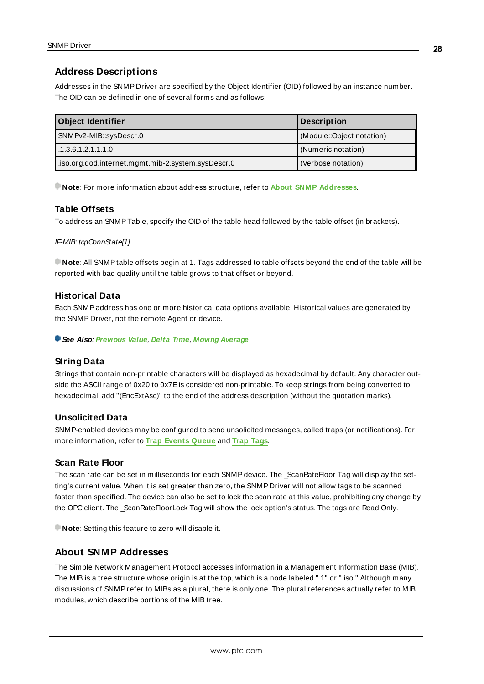# <span id="page-27-0"></span>**Address Descriptions**

Addresses in the SNMP Driver are specified by the Object Identifier (OID) followed by an instance number. The OID can be defined in one of several forms and as follows:

| <b>Object Identifier</b>                          | <b>Description</b>        |
|---------------------------------------------------|---------------------------|
| SNMPv2-MIB::sysDescr.0                            | (Module::Object notation) |
| 1.3.6.1.2.1.1.1.0                                 | (Numeric notation)        |
| iso.org.dod.internet.mgmt.mib-2.system.sysDescr.0 | (Verbose notation)        |

**Note**: For more information about address structure, refer to **About SNMP [Addresses](#page-27-1)**.

## **Table Offsets**

To address an SNMPTable, specify the OID of the table head followed by the table offset (in brackets).

#### IF-MIB::tcpConnState[1]

**Note**: All SNMPtable offsets begin at 1. Tags addressed to table offsets beyond the end of the table will be reported with bad quality until the table grows to that offset or beyond.

#### <span id="page-27-2"></span>**Historical Data**

Each SNMPaddress has one or more historical data options available. Historical values are generated by the SNMP Driver, not the remote Agent or device.

**See Also**: **[Previous](#page-26-1) Value**, **[Delta](#page-26-2) Time**, **Moving [Average](#page-26-3)**

## **String Data**

Strings that contain non-printable characters will be displayed as hexadecimal by default. Any character outside the ASCII range of 0x20 to 0x7Eis considered non-printable. To keep strings from being converted to hexadecimal, add "(EncExtAsc)" to the end of the address description (without the quotation marks).

#### <span id="page-27-4"></span>**Unsolicited Data**

SNMP-enabled devices may be configured to send unsolicited messages, called traps (or notifications). For more information, refer to **Trap [Events](#page-32-0) Queue** and **Trap [Tags](#page-30-1)**.

#### <span id="page-27-3"></span>**Scan Rate Floor**

The scan rate can be set in milliseconds for each SNMP device. The \_ScanRateFloor Tag will display the setting's current value. When it is set greater than zero, the SNMP Driver will not allow tags to be scanned faster than specified. The device can also be set to lock the scan rate at this value, prohibiting any change by the OPC client. The \_ScanRateFloorLock Tag will show the lock option's status. The tags are Read Only.

<span id="page-27-1"></span>**Note:** Setting this feature to zero will disable it.

## **About SNMP Addresses**

The Simple Network Management Protocol accesses information in a Management Information Base (MIB). The MIB is a tree structure whose origin is at the top, which is a node labeled ".1" or ".iso." Although many discussions of SNMPrefer to MIBs as a plural, there is only one. The plural references actually refer to MIB modules, which describe portions of the MIB tree.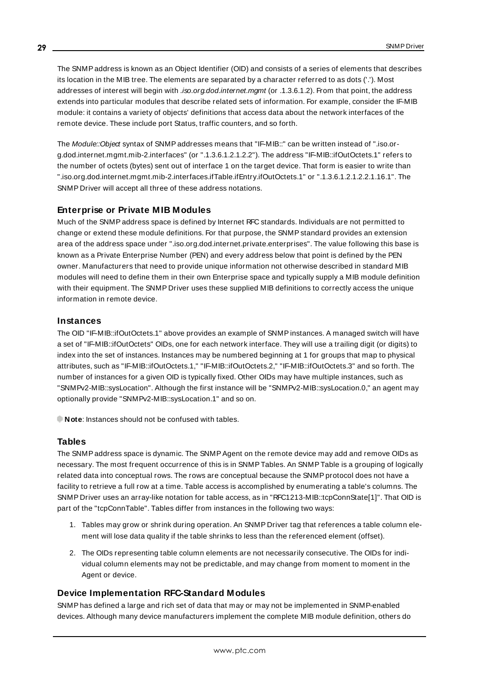The SNMP address is known as an Object Identifier (OID) and consists of a series of elements that describes its location in the MIB tree. The elements are separated by a character referred to as dots ('.'). Most addresses of interest will begin with .iso.org.dod.internet.mgmt (or .1.3.6.1.2). From that point, the address extends into particular modules that describe related sets of information. For example, consider the IF-MIB module: it contains a variety of objects' definitions that access data about the network interfaces of the remote device. These include port Status, traffic counters, and so forth.

The Module::Object syntax of SNMP addresses means that "IF-MIB::" can be written instead of ".iso.org.dod.internet.mgmt.mib-2.interfaces" (or ".1.3.6.1.2.1.2.2"). The address "IF-MIB::ifOutOctets.1" refers to the number of octets (bytes) sent out of interface 1 on the target device. That form is easier to write than ".iso.org.dod.internet.mgmt.mib-2.interfaces.ifTable.ifEntry.ifOutOctets.1" or ".1.3.6.1.2.1.2.2.1.16.1". The SNMP Driver will accept all three of these address notations.

### <span id="page-28-0"></span>**Enterprise or Private MIB Modules**

Much of the SNMPaddress space is defined by Internet RFC standards. Individuals are not permitted to change or extend these module definitions. For that purpose, the SNMP standard provides an extension area of the address space under ".iso.org.dod.internet.private.enterprises". The value following this base is known as a Private Enterprise Number (PEN) and every address below that point is defined by the PEN owner. Manufacturers that need to provide unique information not otherwise described in standard MIB modules will need to define them in their own Enterprise space and typically supply a MIB module definition with their equipment. The SNMP Driver uses these supplied MIB definitions to correctly access the unique information in remote device.

#### <span id="page-28-1"></span>**Instances**

The OID "IF-MIB::ifOutOctets.1" above provides an example of SNMPinstances. A managed switch will have a set of "IF-MIB::ifOutOctets" OIDs, one for each network interface. They will use a trailing digit (or digits) to index into the set of instances. Instances may be numbered beginning at 1 for groups that map to physical attributes, such as "IF-MIB::ifOutOctets.1," "IF-MIB::ifOutOctets.2," "IF-MIB::ifOutOctets.3" and so forth. The number of instances for a given OID is typically fixed. Other OIDs may have multiple instances, such as "SNMPv2-MIB::sysLocation". Although the first instance will be "SNMPv2-MIB::sysLocation.0," an agent may optionally provide "SNMPv2-MIB::sysLocation.1" and so on.

**Note:** Instances should not be confused with tables.

#### **Tables**

The SNMPaddress space is dynamic. The SNMPAgent on the remote device may add and remove OIDs as necessary. The most frequent occurrence of this is in SNMPTables. An SNMPTable is a grouping of logically related data into conceptual rows. The rows are conceptual because the SNMPprotocol does not have a facility to retrieve a full row at a time. Table access is accomplished by enumerating a table's columns. The SNMP Driver uses an array-like notation for table access, as in "RFC1213-MIB::tcpConnState[1]". That OID is part of the "tcpConnTable". Tables differ from instances in the following two ways:

- 1. Tables may grow or shrink during operation. An SNMP Driver tag that references a table column element will lose data quality if the table shrinks to less than the referenced element (offset).
- 2. The OIDs representing table column elements are not necessarily consecutive. The OIDs for individual column elements may not be predictable, and may change from moment to moment in the Agent or device.

#### **Device Implementation RFC-Standard Modules**

SNMPhas defined a large and rich set of data that may or may not be implemented in SNMP-enabled devices. Although many device manufacturers implement the complete MIB module definition, others do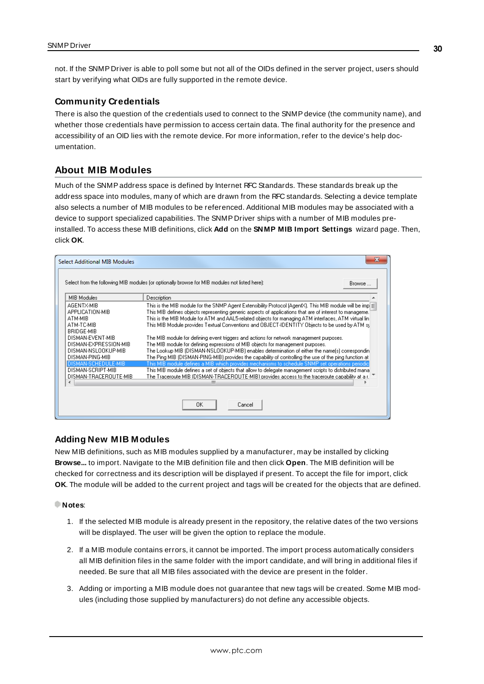not. If the SNMP Driver is able to poll some but not all of the OIDs defined in the server project, users should start by verifying what OIDs are fully supported in the remote device.

#### <span id="page-29-1"></span>**Community Credentials**

There is also the question of the credentials used to connect to the SNMPdevice (the community name), and whether those credentials have permission to access certain data. The final authority for the presence and accessibility of an OID lies with the remote device. For more information, refer to the device's help documentation.

### <span id="page-29-0"></span>**About MIB Modules**

Much of the SNMPaddress space is defined by Internet RFC Standards. These standards break up the address space into modules, many of which are drawn from the RFC standards. Selecting a device template also selects a number of MIB modules to be referenced. Additional MIB modules may be associated with a device to support specialized capabilities. The SNMP Driver ships with a number of MIB modules preinstalled. To access these MIB definitions, click **Add** on the **SNMP MIB Import Settings** wizard page. Then, click **OK**.

| <b>Select Additional MIB Modules</b>                                                                              |                                                                                                                                                                                                                                                                                                                                                                                                                                                                                                                                                                                                                    | x |
|-------------------------------------------------------------------------------------------------------------------|--------------------------------------------------------------------------------------------------------------------------------------------------------------------------------------------------------------------------------------------------------------------------------------------------------------------------------------------------------------------------------------------------------------------------------------------------------------------------------------------------------------------------------------------------------------------------------------------------------------------|---|
|                                                                                                                   | Select from the following MIB modules (or optionally browse for MIB modules not listed here):<br>Browse                                                                                                                                                                                                                                                                                                                                                                                                                                                                                                            |   |
| MIB Modules                                                                                                       | Description                                                                                                                                                                                                                                                                                                                                                                                                                                                                                                                                                                                                        |   |
| AGENTX-MIB<br>APPLICATION-MIB<br>ATM-MIB<br>ATM-TC-MIB<br>BRIDGE-MIB<br>DISMAN-EVENT-MIB<br>DISMAN-EXPRESSION-MIB | This is the MIB module for the SNMP Agent Extensibility Protocol (AgentX). This MIB module will be impl $\equiv$<br>This MIB defines objects representing generic aspects of applications that are of interest to manageme.<br>This is the MIB Module for ATM and AAL5-related objects for managing ATM interfaces, ATM virtual lin<br>This MIB Module provides Textual Conventions and OBJECT-IDENTITY Objects to be used by ATM sy<br>The MIB module for defining event triggers and actions for network management purposes.<br>The MIB module for defining expressions of MIB objects for management purposes. |   |
| DISMAN-NSLOOKUP-MIB<br>DISMAN-PING-MIB<br>DISMAN-SCHEDULE-MIB                                                     | The Lookup MIB (DISMAN-NSLOOKUP-MIB) enables determination of either the name(s) correspondin<br>The Ping MIB (DISMAN-PING-MIB) provides the capability of controlling the use of the ping function at<br>This MIB module defines a MIB which provides mechanisms to schedule SNMP set operations periodic                                                                                                                                                                                                                                                                                                         |   |
| DISMAN-SCRIPT-MIB<br>DISMAN-TRACEROUTE-MIB                                                                        | This MIB module defines a set of objects that allow to delegate management scripts to distributed mana<br>The Traceroute MIB (DISMAN-TRACEROUTE-MIB) provides access to the traceroute capability at a r.<br>ш                                                                                                                                                                                                                                                                                                                                                                                                     |   |
|                                                                                                                   | 0K<br>Cancel                                                                                                                                                                                                                                                                                                                                                                                                                                                                                                                                                                                                       |   |

#### **Adding New MIB Modules**

New MIB definitions, such as MIB modules supplied by a manufacturer, may be installed by clicking **Browse...** to import. Navigate to the MIB definition file and then click **Open**. The MIB definition will be checked for correctness and its description will be displayed if present. To accept the file for import, click **OK**. The module will be added to the current project and tags will be created for the objects that are defined.

#### **Notes**:

- 1. If the selected MIB module is already present in the repository, the relative dates of the two versions will be displayed. The user will be given the option to replace the module.
- 2. If a MIB module contains errors, it cannot be imported. The import process automatically considers all MIB definition files in the same folder with the import candidate, and will bring in additional files if needed. Be sure that all MIB files associated with the device are present in the folder.
- 3. Adding or importing a MIB module does not guarantee that new tags will be created. Some MIB modules (including those supplied by manufacturers) do not define any accessible objects.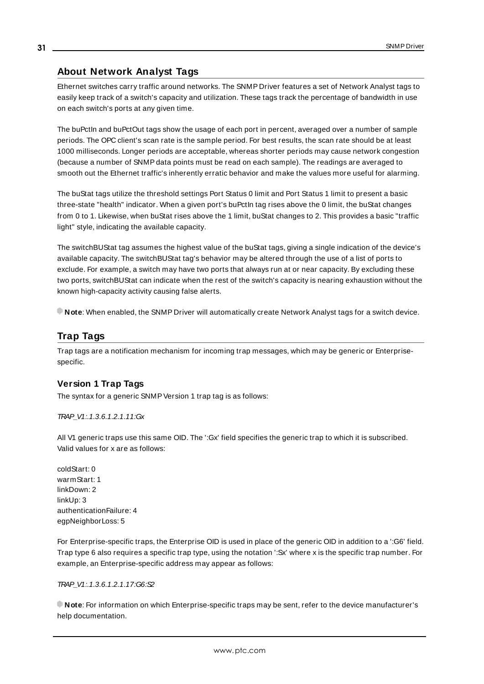# <span id="page-30-0"></span>**About Network Analyst Tags**

Ethernet switches carry traffic around networks. The SNMP Driver features a set of Network Analyst tags to easily keep track of a switch's capacity and utilization. These tags track the percentage of bandwidth in use on each switch's ports at any given time.

The buPctIn and buPctOut tags show the usage of each port in percent, averaged over a number of sample periods. The OPC client's scan rate is the sample period. For best results, the scan rate should be at least 1000 milliseconds. Longer periods are acceptable, whereas shorter periods may cause network congestion (because a number of SNMPdata points must be read on each sample). The readings are averaged to smooth out the Ethernet traffic's inherently erratic behavior and make the values more useful for alarming.

The buStat tags utilize the threshold settings Port Status 0 limit and Port Status 1 limit to present a basic three-state "health" indicator. When a given port's buPctIn tag rises above the 0 limit, the buStat changes from 0 to 1. Likewise, when buStat rises above the 1 limit, buStat changes to 2. This provides a basic "traffic light" style, indicating the available capacity.

The switchBUStat tag assumes the highest value of the buStat tags, giving a single indication of the device's available capacity. The switchBUStat tag's behavior may be altered through the use of a list of ports to exclude. For example, a switch may have two ports that always run at or near capacity. By excluding these two ports, switchBUStat can indicate when the rest of the switch's capacity is nearing exhaustion without the known high-capacity activity causing false alerts.

<span id="page-30-1"></span>**Note**: When enabled, the SNMP Driver will automatically create Network Analyst tags for a switch device.

# **Trap Tags**

Trap tags are a notification mechanism for incoming trap messages, which may be generic or Enterprisespecific.

## **Version 1 Trap Tags**

The syntax for a generic SNMP Version 1 trap tag is as follows:

TRAP\_V1:.1.3.6.1.2.1.11:Gx

All V1 generic traps use this same OID. The ':Gx' field specifies the generic trap to which it is subscribed. Valid values for x are as follows:

coldStart: 0 warmStart: 1 linkDown: 2 linkUp: 3 authenticationFailure: 4 egpNeighborLoss: 5

For Enterprise-specific traps, the Enterprise OID is used in place of the generic OID in addition to a ':G6' field. Trap type 6 also requires a specific trap type, using the notation ':Sx' where x is the specific trap number. For example, an Enterprise-specific address may appear as follows:

TRAP\_V1:.1.3.6.1.2.1.17:G6:S2

**Note**: For information on which Enterprise-specific traps may be sent, refer to the device manufacturer's help documentation.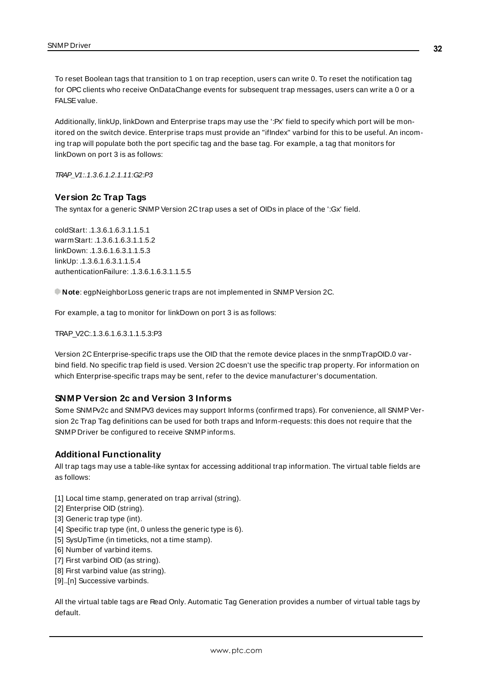To reset Boolean tags that transition to 1 on trap reception, users can write 0. To reset the notification tag for OPC clients who receive OnDataChange events for subsequent trap messages, users can write a 0 or a FALSE value.

Additionally, linkUp, linkDown and Enterprise traps may use the ':Px' field to specify which port will be monitored on the switch device. Enterprise traps must provide an "ifIndex" varbind for this to be useful. An incoming trap will populate both the port specific tag and the base tag. For example, a tag that monitors for linkDown on port 3 is as follows:

TRAP\_V1:.1.3.6.1.2.1.11:G2:P3

### **Version 2c Trap Tags**

The syntax for a generic SNMP Version 2C trap uses a set of OIDs in place of the ':Gx' field.

coldStart: .1.3.6.1.6.3.1.1.5.1 warmStart: 1.3.6.1.6.3.1.1.5.2 linkDown: .1.3.6.1.6.3.1.1.5.3 linkUp: .1.3.6.1.6.3.1.1.5.4 authenticationFailure: .1.3.6.1.6.3.1.1.5.5

**Note:** egpNeighborLoss generic traps are not implemented in SNMP Version 2C.

For example, a tag to monitor for linkDown on port 3 is as follows:

TRAP\_V2C:.1.3.6.1.6.3.1.1.5.3:P3

Version 2C Enterprise-specific traps use the OID that the remote device places in the snmpTrapOID.0 varbind field. No specific trap field is used. Version 2C doesn't use the specific trap property. For information on which Enterprise-specific traps may be sent, refer to the device manufacturer's documentation.

#### **SNMP Version 2c and Version 3 Informs**

Some SNMPv2c and SNMPV3 devices may support Informs (confirmed traps). For convenience, all SNMP Version 2c Trap Tag definitions can be used for both traps and Inform-requests: this does not require that the SNMP Driver be configured to receive SNMPinforms.

## **Additional Functionality**

All trap tags may use a table-like syntax for accessing additional trap information. The virtual table fields are as follows:

- [1] Local time stamp, generated on trap arrival (string).
- [2] Enterprise OID (string).
- [3] Generic trap type (int).
- [4] Specific trap type (int, 0 unless the generic type is 6).
- [5] SysUpTime (in timeticks, not a time stamp).
- [6] Number of varbind items.
- [7] First varbind OID (as string).
- [8] First varbind value (as string).
- [9]..[n] Successive varbinds.

All the virtual table tags are Read Only. Automatic Tag Generation provides a number of virtual table tags by default.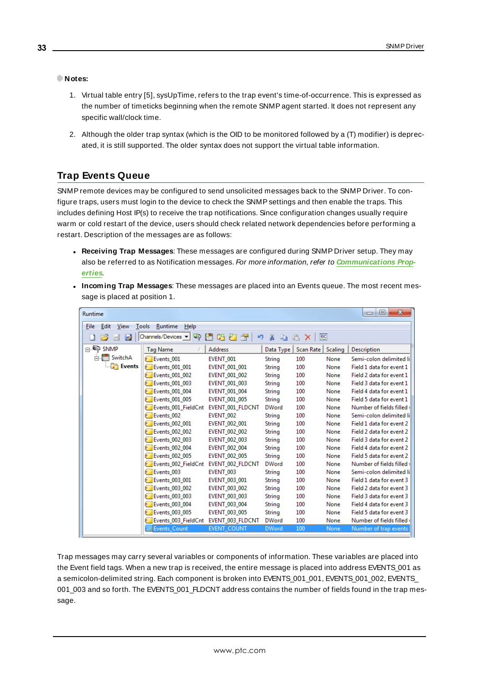#### **Notes:**

- 1. Virtual table entry [5], sysUpTime, refers to the trap event's time-of-occurrence. This is expressed as the number of timeticks beginning when the remote SNMPagent started. It does not represent any specific wall/clock time.
- 2. Although the older trap syntax (which is the OID to be monitored followed by a (T) modifier) is deprecated, it is still supported. The older syntax does not support the virtual table information.

# <span id="page-32-0"></span>**Trap Events Queue**

SNMPremote devices may be configured to send unsolicited messages back to the SNMP Driver. To configure traps, users must login to the device to check the SNMPsettings and then enable the traps. This includes defining Host IP(s) to receive the trap notifications. Since configuration changes usually require warm or cold restart of the device, users should check related network dependencies before performing a restart. Description of the messages are as follows:

- <sup>l</sup> **Receiving Trap Messages**: These messages are configured during SNMP Driver setup. They may also be referred to as Notification messages. For more information, refer to **[Communications](#page-18-0) Prop[erties](#page-18-0)**.
- <sup>l</sup> **Incoming Trap Messages**: These messages are placed into an Events queue. The most recent message is placed at position 1.

| $\overline{\mathbf{x}}$<br>▣<br>Runtime<br>$\Box$ |                                                                   |                      |               |           |         |                           |  |
|---------------------------------------------------|-------------------------------------------------------------------|----------------------|---------------|-----------|---------|---------------------------|--|
| File<br>Edit<br>View<br>Runtime<br>Tools<br>Help  |                                                                   |                      |               |           |         |                           |  |
| b.<br>H                                           | Channels/Devices -<br>匷<br>$\mathbb{Z}$<br>18627<br>Ж<br>9<br>la. |                      |               |           |         |                           |  |
| $\Box$ $\blacksquare$ SNMP                        | <b>Tag Name</b>                                                   | <b>Address</b>       | Data Type     | Scan Rate | Scaling | Description               |  |
| <b>Allin</b> SwitchA                              | Events 001                                                        | EVENT 001            | <b>String</b> | 100       | None    | Semi-colon delimited li   |  |
| <b>Events</b>                                     | <b>Events 001 001</b>                                             | <b>EVENT 001 001</b> | <b>String</b> | 100       | None    | Field 1 data for event 1  |  |
|                                                   | <b>Events 001 002</b>                                             | <b>EVENT 001 002</b> | <b>String</b> | 100       | None    | Field 2 data for event 1  |  |
|                                                   | <b>Events 001 003</b>                                             | <b>EVENT 001 003</b> | <b>String</b> | 100       | None    | Field 3 data for event 1  |  |
|                                                   | <b>Events 001 004</b>                                             | <b>EVENT 001 004</b> | <b>String</b> | 100       | None    | Field 4 data for event 1  |  |
|                                                   | <b>Events 001 005</b>                                             | <b>EVENT 001 005</b> | String        | 100       | None    | Field 5 data for event 1  |  |
|                                                   | Events 001 FieldCnt                                               | EVENT 001 FLDCNT     | <b>DWord</b>  | 100       | None    | Number of fields filled \ |  |
|                                                   | Events 002                                                        | EVENT 002            | String        | 100       | None    | Semi-colon delimited li   |  |
|                                                   | Events 002 001                                                    | <b>EVENT 002 001</b> | String        | 100       | None    | Field 1 data for event 2  |  |
|                                                   | <b>Events 002 002</b>                                             | EVENT_002_002        | String        | 100       | None    | Field 2 data for event 2  |  |
|                                                   | <b>Events 002 003</b>                                             | <b>EVENT 002 003</b> | <b>String</b> | 100       | None    | Field 3 data for event 2  |  |
|                                                   | <b>Events 002 004</b>                                             | <b>EVENT 002 004</b> | <b>String</b> | 100       | None    | Field 4 data for event 2  |  |
|                                                   | <b>Events 002 005</b>                                             | <b>EVENT 002 005</b> | String        | 100       | None    | Field 5 data for event 2  |  |
|                                                   | Events 002_FieldCnt                                               | EVENT 002 FLDCNT     | <b>DWord</b>  | 100       | None    | Number of fields filled \ |  |
|                                                   | Events 003                                                        | EVENT 003            | <b>String</b> | 100       | None    | Semi-colon delimited li   |  |
|                                                   | Events 003 001                                                    | <b>EVENT 003 001</b> | String        | 100       | None    | Field 1 data for event 3  |  |
|                                                   | <b>Events 003 002</b>                                             | <b>EVENT 003 002</b> | <b>String</b> | 100       | None    | Field 2 data for event 3  |  |
|                                                   | <b>Events 003 003</b>                                             | <b>EVENT 003 003</b> | <b>String</b> | 100       | None    | Field 3 data for event 3  |  |
|                                                   | Events 003 004                                                    | EVENT 003 004        | <b>String</b> | 100       | None    | Field 4 data for event 3  |  |
|                                                   | <b>Events 003 005</b>                                             | <b>EVENT 003 005</b> | String        | 100       | None    | Field 5 data for event 3  |  |
|                                                   | Events 003 FieldCnt                                               | EVENT_003_FLDCNT     | <b>DWord</b>  | 100       | None    | Number of fields filled   |  |
|                                                   | Events Count                                                      | <b>EVENT COUNT</b>   | <b>DWord</b>  | 100       | None    | Number of trap events     |  |

Trap messages may carry several variables or components of information. These variables are placed into the Event field tags. When a new trap is received, the entire message is placed into address EVENTS 001 as a semicolon-delimited string. Each component is broken into EVENTS\_001\_001, EVENTS\_001\_002, EVENTS\_ 001\_003 and so forth. The EVENTS\_001\_FLDCNT address contains the number of fields found in the trap message.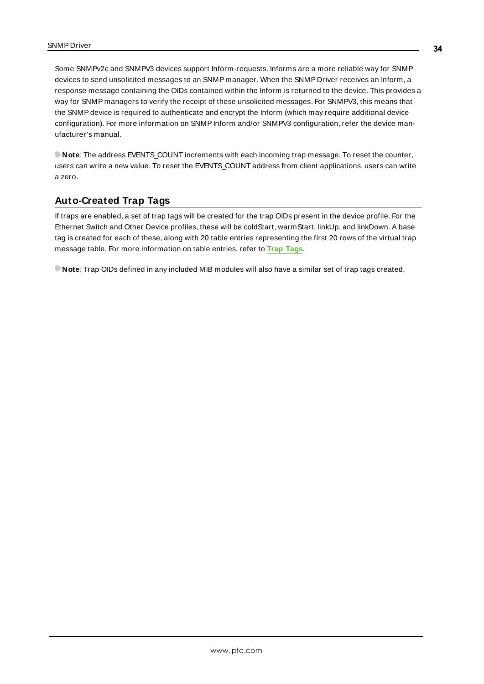Some SNMPv2c and SNMPV3 devices support Inform-requests. Informs are a more reliable way for SNMP devices to send unsolicited messages to an SNMP manager. When the SNMP Driver receives an Inform, a response message containing the OIDs contained within the Inform is returned to the device. This provides a way for SNMP managers to verify the receipt of these unsolicited messages. For SNMPV3, this means that the SNMPdevice is required to authenticate and encrypt the Inform (which may require additional device configuration). For more information on SNMPInform and/or SNMPV3 configuration, refer the device manufacturer's manual.

**Note**: The address EVENTS\_COUNT increments with each incoming trap message. To reset the counter, users can write a new value. To reset the EVENTS COUNT address from client applications, users can write a zero.

# <span id="page-33-0"></span>**Auto-Created Trap Tags**

If traps are enabled, a set of trap tags will be created for the trap OIDs present in the device profile. For the Ethernet Switch and Other Device profiles, these will be coldStart, warmStart, linkUp, and linkDown. A base tag is created for each of these, along with 20 table entries representing the first 20 rows of the virtual trap message table. For more information on table entries, refer to **Trap [Tags](#page-30-1)**.

**Note**: Trap OIDs defined in any included MIB modules will also have a similar set of trap tags created.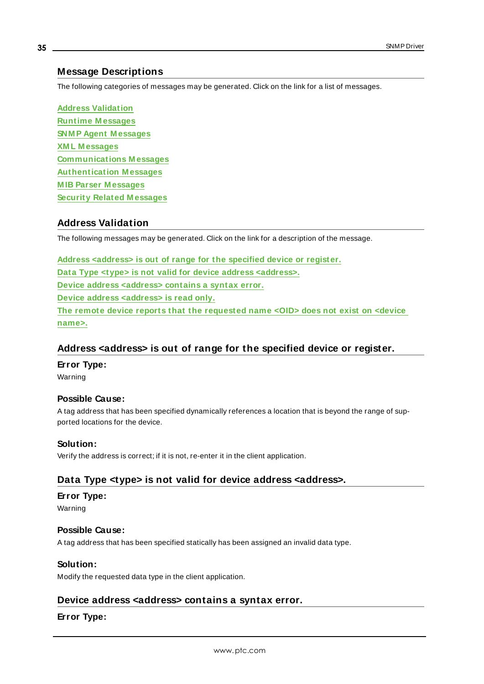## <span id="page-34-0"></span>**Message Descriptions**

The following categories of messages may be generated. Click on the link for a list of messages.

**Address [Validation](#page-34-1) Runtime [M essages](#page-35-2) SNM P Agent [M essages](#page-44-0) XM L [M essages](#page-45-1) [Communications](#page-46-0) M essages [Authentication](#page-47-2) M essages M IB Parser [M essages](#page-48-1) Security Related [M essages](#page-56-0)**

# <span id="page-34-1"></span>**Address Validation**

The following messages may be generated. Click on the link for a description of the message.

**Address [<address>](#page-34-2) is out of range for the specified device or register. Data Type <type> is not valid for device address [<address>.](#page-34-3) Device address [<address>](#page-34-4) contains a syntax error. Device address [<address>](#page-35-0) is read only. The remote device reports that the [requested](#page-35-1) name <OID> does not exist on <device [name>.](#page-35-1)**

## <span id="page-34-2"></span>**Address <address> is out of range for the specified device or register.**

**Error Type:**

Warning

#### **Possible Cause:**

A tag address that has been specified dynamically references a location that is beyond the range of supported locations for the device.

#### **Solution:**

<span id="page-34-3"></span>Verify the address is correct; if it is not, re-enter it in the client application.

# **Data Type <type> is not valid for device address <address>.**

#### **Error Type:**

Warning

#### **Possible Cause:**

A tag address that has been specified statically has been assigned an invalid data type.

#### **Solution:**

<span id="page-34-4"></span>Modify the requested data type in the client application.

#### **Device address <address> contains a syntax error.**

## **Error Type:**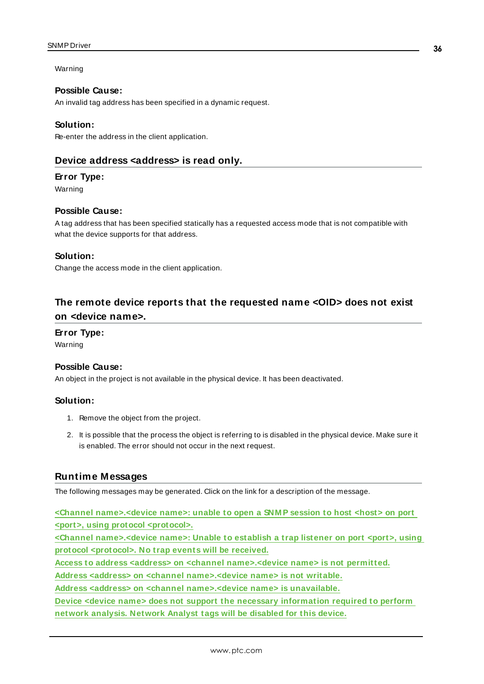Warning

#### **Possible Cause:**

An invalid tag address has been specified in a dynamic request.

#### **Solution:**

<span id="page-35-0"></span>Re-enter the address in the client application.

### **Device address <address> is read only.**

#### **Error Type:**

Warning

### **Possible Cause:**

A tag address that has been specified statically has a requested access mode that is not compatible with what the device supports for that address.

#### **Solution:**

Change the access mode in the client application.

# <span id="page-35-1"></span>**The remote device reports that the requested name <OID> does not exist on <device name>.**

# **Error Type:**

Warning

#### **Possible Cause:**

An object in the project is not available in the physical device. It has been deactivated.

#### **Solution:**

- 1. Remove the object from the project.
- 2. It is possible that the process the object is referring to is disabled in the physical device. Make sure it is enabled. The error should not occur in the next request.

#### <span id="page-35-2"></span>**Runtime Messages**

The following messages may be generated. Click on the link for a description of the message.

**<Channel [name>.<device](#page-36-0) name>: unable to open a SNM P session to host <host> on port <port>, using protocol [<protocol>.](#page-36-0)**

**<Channel [name>.<device](#page-37-0) name>: Unable to establish a trap listener on port <port>, using protocol [<protocol>.](#page-37-0) No trap events will be received.**

**Access to address <address> on <channel [name>.<device](#page-37-1) name> is not permitted.**

**Address <address> on <channel [name>.<device](#page-37-2) name> is not writable.**

**Address <address> on <channel [name>.<device](#page-38-0) name> is unavailable.**

**Device <device name> does not support the necessary [information](#page-38-1) required to perform network [analysis.](#page-38-1) Network Analyst tags will be disabled for this device.**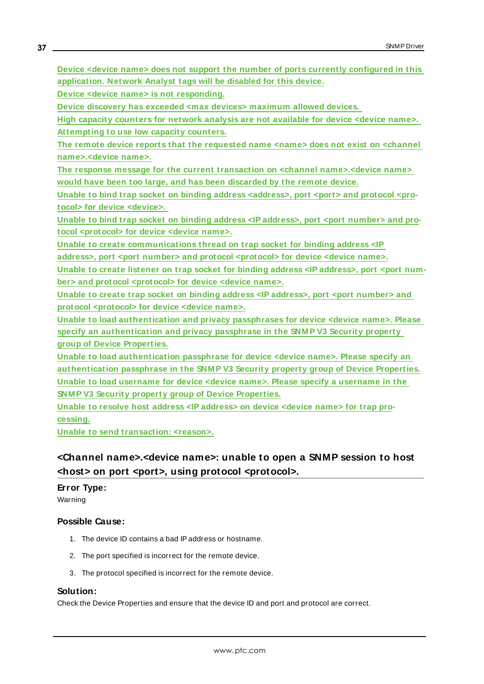**Device <device name> does not support the number of ports currently [configured](#page-38-2) in this [application.](#page-38-2) Network Analyst tags will be disabled for this device.**

**Device <device name> is not [responding.](#page-38-3)**

**Device discovery has exceeded <max devices> [maximum](#page-39-0) allowed devices.**

**High capacity [counters](#page-39-1) for network analysis are not available for device <device name>. [Attempting](#page-39-1) to use low capacity counters.**

**The remote device reports that the [requested](#page-39-2) name <name> does not exist on <channel [name>.<device](#page-39-2) name>.**

**The response message for the current transaction on <channel [name>.<device](#page-40-0) name> would have been too large, and has been [discarded](#page-40-0) by the remote device.**

Unable to bind trap socket on binding address [<address>,](#page-40-1) port <port> and protocol <pro**tocol> for device [<device>.](#page-40-1)**

**Unable to bind trap socket on binding address <IP [address>,](#page-40-2) port <port number> and protocol [<protocol>](#page-40-2) for device <device name>.**

**Unable to create [communications](#page-41-0) thread on trap socket for binding address <IP address>, port <port number> and protocol [<protocol>](#page-41-0) for device <device name>.**

**Unable to create listener on trap socket for binding address <IP [address>,](#page-41-1) port <port number> and protocol [<protocol>](#page-41-1) for device <device name>.**

**Unable to create trap socket on binding address <IP [address>,](#page-41-2) port <port number> and protocol [<protocol>](#page-41-2) for device <device name>.**

**Unable to load [authentication](#page-42-0) and privacy passphrases for device <device name>. Please specify an [authentication](#page-42-0) and privacy passphrase in the SNM P V3 Security property group of Device [Properties.](#page-42-0)**

**Unable to load [authentication](#page-42-1) passphrase for device <device name>. Please specify an [authentication](#page-42-1) passphrase in the SNM P V3 Security property group of Device Properties. Unable to load username for device <device name>. Please specify a [username](#page-42-2) in the SNM P V3 Security property group of Device [Properties.](#page-42-2)**

**Unable to resolve host address <IP [address>](#page-43-0) on device <device name> for trap pro[cessing.](#page-43-0)**

<span id="page-36-0"></span>**Unable to send [transaction:](#page-43-1) <reason>.**

# **<Channel name>.<device name>: unable to open a SNMP session to host <host> on port <port>, using protocol <protocol>.**

## **Error Type:**

Warning

## **Possible Cause:**

- 1. The device ID contains a bad IPaddress or hostname.
- 2. The port specified is incorrect for the remote device.
- 3. The protocol specified is incorrect for the remote device.

#### **Solution:**

Check the Device Properties and ensure that the device ID and port and protocol are correct.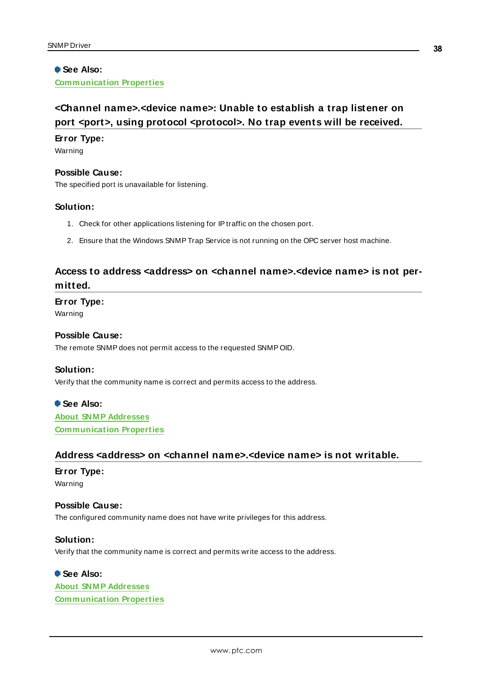## **See Also: [Communication](#page-18-1) Properties**

# <span id="page-37-0"></span>**<Channel name>.<device name>: Unable to establish a trap listener on port <port>, using protocol <protocol>. No trap events will be received.**

#### **Error Type:**

Warning

#### **Possible Cause:**

The specified port is unavailable for listening.

#### **Solution:**

- 1. Check for other applications listening for IPtraffic on the chosen port.
- 2. Ensure that the Windows SNMPTrap Service is not running on the OPC server host machine.

# <span id="page-37-1"></span>**Access to address <address> on <channel name>.<device name> is not permitted.**

# **Error Type:**

Warning

#### **Possible Cause:**

The remote SNMP does not permit access to the requested SNMP OID.

#### **Solution:**

Verify that the community name is correct and permits access to the address.

## **See Also:**

**About SNM P [Addresses](#page-27-1) [Communication](#page-18-2) Properties**

#### <span id="page-37-2"></span>**Address <address> on <channel name>.<device name> is not writable.**

# **Error Type:** Warning

#### **Possible Cause:**

The configured community name does not have write privileges for this address.

#### **Solution:**

Verify that the community name is correct and permits write access to the address.

# **See Also:**

**About SNM P [Addresses](#page-27-1) [Communication](#page-18-2) Properties**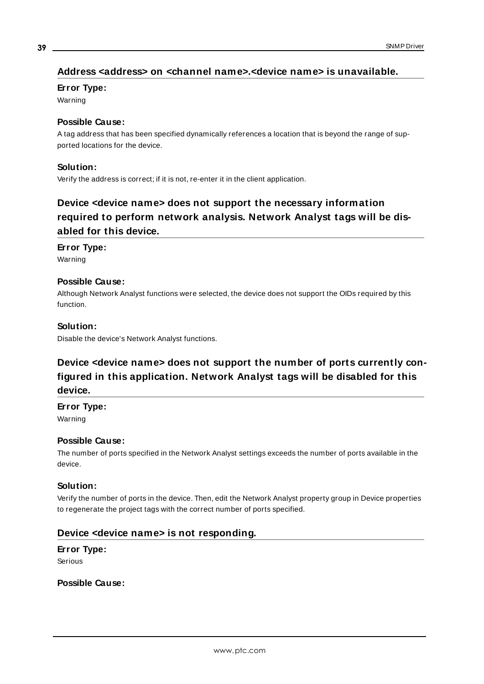# <span id="page-38-0"></span>**Address <address> on <channel name>.<device name> is unavailable.**

#### **Error Type:**

Warning

### **Possible Cause:**

A tag address that has been specified dynamically references a location that is beyond the range of supported locations for the device.

#### **Solution:**

<span id="page-38-1"></span>Verify the address is correct; if it is not, re-enter it in the client application.

# **Device <device name> does not support the necessary information required to perform network analysis. Network Analyst tags will be disabled for this device.**

### **Error Type:**

Warning

# **Possible Cause:**

Although Network Analyst functions were selected, the device does not support the OIDs required by this function.

### **Solution:**

<span id="page-38-2"></span>Disable the device's Network Analyst functions.

# **Device <device name> does not support the number of ports currently configured in this application. Network Analyst tags will be disabled for this device.**

#### **Error Type:**

Warning

## **Possible Cause:**

The number of ports specified in the Network Analyst settings exceeds the number of ports available in the device.

#### **Solution:**

Verify the number of ports in the device. Then, edit the Network Analyst property group in Device properties to regenerate the project tags with the correct number of ports specified.

## <span id="page-38-3"></span>**Device <device name> is not responding.**

# **Error Type:**

Serious

### **Possible Cause:**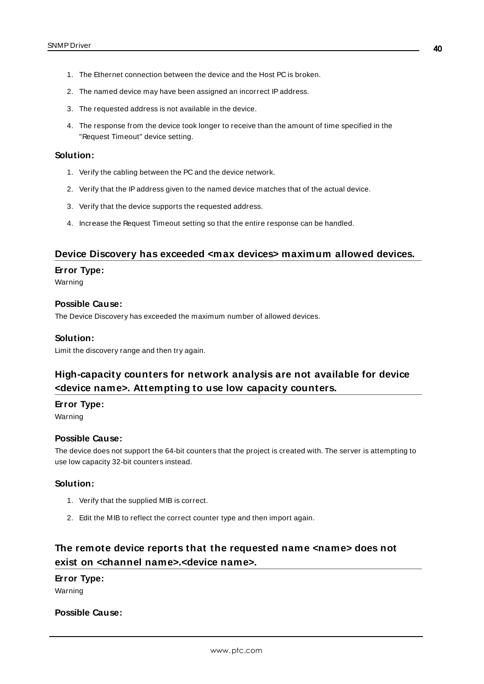- 1. The Ethernet connection between the device and the Host PC is broken.
- 2. The named device may have been assigned an incorrect IPaddress.
- 3. The requested address is not available in the device.
- 4. The response from the device took longer to receive than the amount of time specified in the "Request Timeout" device setting.

#### **Solution:**

- 1. Verify the cabling between the PC and the device network.
- 2. Verify that the IPaddress given to the named device matches that of the actual device.
- 3. Verify that the device supports the requested address.
- 4. Increase the Request Timeout setting so that the entire response can be handled.

### <span id="page-39-0"></span>**Device Discovery has exceeded <max devices> maximum allowed devices.**

#### **Error Type:**

Warning

#### **Possible Cause:**

The Device Discovery has exceeded the maximum number of allowed devices.

#### **Solution:**

<span id="page-39-1"></span>Limit the discovery range and then try again.

# **High-capacity counters for network analysis are not available for device <device name>. Attempting to use low capacity counters.**

#### **Error Type:**

Warning

#### **Possible Cause:**

The device does not support the 64-bit counters that the project is created with. The server is attempting to use low capacity 32-bit counters instead.

#### **Solution:**

- 1. Verify that the supplied MIB is correct.
- 2. Edit the MIB to reflect the correct counter type and then import again.

# <span id="page-39-2"></span>**The remote device reports that the requested name <name> does not exist on <channel name>.<device name>.**

#### **Error Type:**

Warning

#### **Possible Cause:**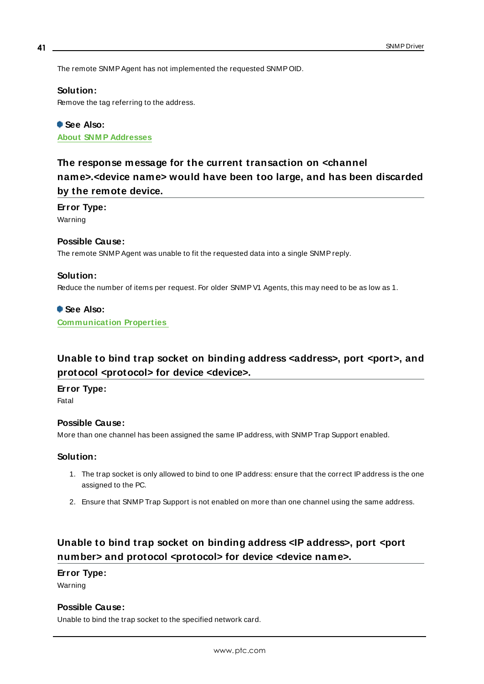The remote SNMP Agent has not implemented the requested SNMP OID.

#### **Solution:**

Remove the tag referring to the address.

# **See Also: About SNM P [Addresses](#page-27-1)**

# <span id="page-40-0"></span>**The response message for the current transaction on <channel name>.<device name> would have been too large, and has been discarded by the remote device.**

#### **Error Type:**

Warning

#### **Possible Cause:**

The remote SNMP Agent was unable to fit the requested data into a single SNMP reply.

#### **Solution:**

Reduce the number of items per request. For older SNMPV1 Agents, this may need to be as low as 1.

#### **See Also:**

**[Communication](#page-18-2) Properties**

# <span id="page-40-1"></span>**Unable to bind trap socket on binding address <address>, port <port>, and protocol <protocol> for device <device>.**

### **Error Type:**

Fatal

#### **Possible Cause:**

More than one channel has been assigned the same IPaddress, with SNMPTrap Support enabled.

#### **Solution:**

- 1. The trap socket is only allowed to bind to one IPaddress: ensure that the correct IPaddress is the one assigned to the PC.
- 2. Ensure that SNMPTrap Support is not enabled on more than one channel using the same address.

# <span id="page-40-2"></span>**Unable to bind trap socket on binding address <IP address>, port <port number> and protocol <protocol> for device <device name>.**

#### **Error Type:**

Warning

#### **Possible Cause:**

Unable to bind the trap socket to the specified network card.

**41**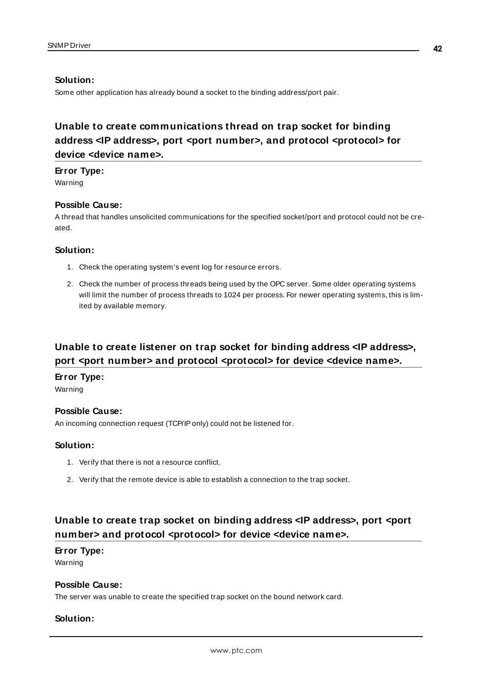#### **Solution:**

Some other application has already bound a socket to the binding address/port pair.

# <span id="page-41-0"></span>**Unable to create communications thread on trap socket for binding address <IP address>, port <port number>, and protocol <protocol> for device <device name>.**

#### **Error Type:**

Warning

### **Possible Cause:**

A thread that handles unsolicited communications for the specified socket/port and protocol could not be created.

#### **Solution:**

- 1. Check the operating system's event log for resource errors.
- 2. Check the number of process threads being used by the OPC server. Some older operating systems will limit the number of process threads to 1024 per process. For newer operating systems, this is limited by available memory.

# <span id="page-41-1"></span>**Unable to create listener on trap socket for binding address <IP address>, port <port number> and protocol <protocol> for device <device name>.**

#### **Error Type:**

Warning

#### **Possible Cause:**

An incoming connection request (TCP/IPonly) could not be listened for.

#### **Solution:**

- 1. Verify that there is not a resource conflict.
- 2. Verify that the remote device is able to establish a connection to the trap socket.

# <span id="page-41-2"></span>**Unable to create trap socket on binding address <IP address>, port <port number> and protocol <protocol> for device <device name>.**

#### **Error Type:**

Warning

#### **Possible Cause:**

The server was unable to create the specified trap socket on the bound network card.

#### **Solution:**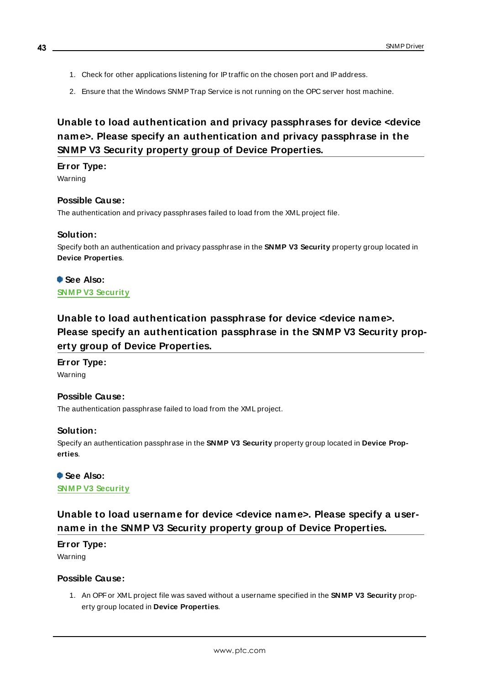- 1. Check for other applications listening for IPtraffic on the chosen port and IPaddress.
- 2. Ensure that the Windows SNMPTrap Service is not running on the OPC server host machine.

# <span id="page-42-0"></span>**Unable to load authentication and privacy passphrases for device <device name>. Please specify an authentication and privacy passphrase in the SNMP V3 Security property group of Device Properties.**

#### **Error Type:**

Warning

#### **Possible Cause:**

The authentication and privacy passphrases failed to load from the XML project file.

#### **Solution:**

Specify both an authentication and privacy passphrase in the **SNMP V3 Security** property group located in **Device Properties**.

**See Also: SNM P V3 [Security](#page-19-0)**

# <span id="page-42-1"></span>**Unable to load authentication passphrase for device <device name>. Please specify an authentication passphrase in the SNMP V3 Security property group of Device Properties.**

**Error Type:** Warning

### **Possible Cause:**

The authentication passphrase failed to load from the XML project.

#### **Solution:**

Specify an authentication passphrase in the **SNMP V3 Security** property group located in **Device Properties**.

**See Also: [SNM P V3](#page-19-0) Security**

# <span id="page-42-2"></span>**Unable to load username for device <device name>. Please specify a username in the SNMP V3 Security property group of Device Properties.**

#### **Error Type:**

Warning

#### **Possible Cause:**

1. An OPFor XML project file was saved without a username specified in the **SNMP V3 Security** property group located in **Device Properties**.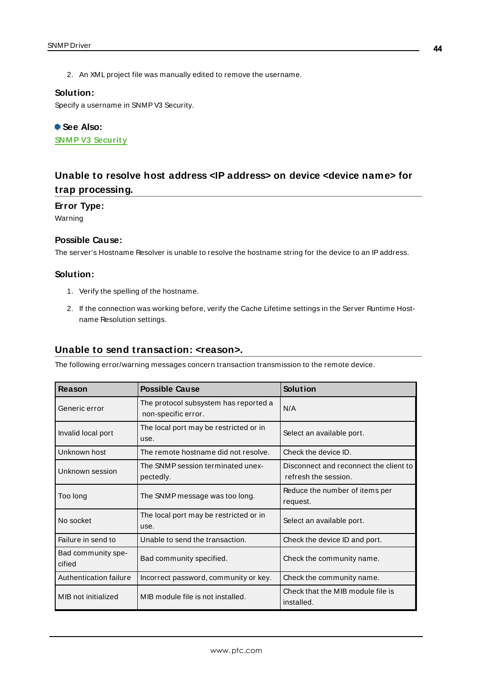2. An XML project file was manually edited to remove the username.

#### **Solution:**

Specify a username in SNMPV3 Security.

**See Also: [SNM P V3](#page-19-0) Security**

# <span id="page-43-0"></span>**Unable to resolve host address <IP address> on device <device name> for trap processing.**

#### **Error Type:**

Warning

# **Possible Cause:**

The server's Hostname Resolver is unable to resolve the hostname string for the device to an IPaddress.

### **Solution:**

- 1. Verify the spelling of the hostname.
- 2. If the connection was working before, verify the Cache Lifetime settings in the Server Runtime Hostname Resolution settings.

#### <span id="page-43-1"></span>**Unable to send transaction: <reason>.**

The following error/warning messages concern transaction transmission to the remote device.

| Reason                                                      | <b>Possible Cause</b>                                        | Solution                                                       |
|-------------------------------------------------------------|--------------------------------------------------------------|----------------------------------------------------------------|
| Generic error                                               | The protocol subsystem has reported a<br>non-specific error. | N/A                                                            |
| Invalid local port                                          | The local port may be restricted or in<br>use.               | Select an available port.                                      |
| Unknown host                                                | The remote hostname did not resolve.                         | Check the device ID.                                           |
| Unknown session                                             | The SNMP session terminated unex-<br>pectedly.               | Disconnect and reconnect the client to<br>refresh the session. |
| Too long                                                    | The SNMP message was too long.                               | Reduce the number of items per<br>request.                     |
| The local port may be restricted or in<br>No socket<br>use. |                                                              | Select an available port.                                      |
| Failure in send to                                          | Unable to send the transaction.                              | Check the device ID and port.                                  |
| Bad community spe-<br>cified                                | Bad community specified.                                     | Check the community name.                                      |
| Authentication failure                                      | Incorrect password, community or key.                        | Check the community name.                                      |
| MIB not initialized                                         | MIB module file is not installed.                            | Check that the MIB module file is<br>installed.                |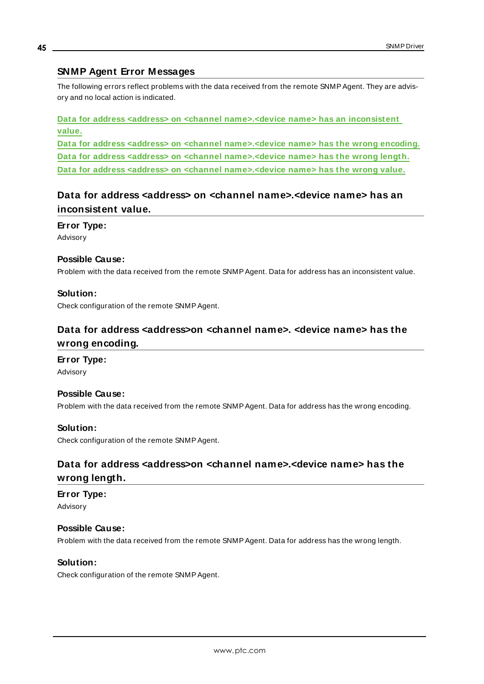# <span id="page-44-0"></span>**SNMP Agent Error Messages**

The following errors reflect problems with the data received from the remote SNMPAgent. They are advisory and no local action is indicated.

**Data for address <address> on <channel [name>.<device](#page-44-1) name> has an inconsistent [value.](#page-44-1) Data for address <address> on <channel [name>.<device](#page-44-2) name> has the wrong encoding. Data for address <address> on <channel [name>.<device](#page-44-3) name> has the wrong length.**

<span id="page-44-1"></span>**Data for address <address> on <channel [name>.<device](#page-45-0) name> has the wrong value.**

# **Data for address <address> on <channel name>.<device name> has an inconsistent value.**

**Error Type:** Advisory

#### **Possible Cause:**

Problem with the data received from the remote SNMPAgent. Data for address has an inconsistent value.

### **Solution:**

<span id="page-44-2"></span>Check configuration of the remote SNMPAgent.

# **Data for address <address>on <channel name>. <device name> has the wrong encoding.**

# **Error Type:**

Advisory

#### **Possible Cause:**

Problem with the data received from the remote SNMPAgent. Data for address has the wrong encoding.

#### **Solution:**

<span id="page-44-3"></span>Check configuration of the remote SNMPAgent.

# **Data for address <address>on <channel name>.<device name> has the wrong length.**

#### **Error Type:**

Advisory

#### **Possible Cause:**

Problem with the data received from the remote SNMPAgent. Data for address has the wrong length.

#### **Solution:**

Check configuration of the remote SNMPAgent.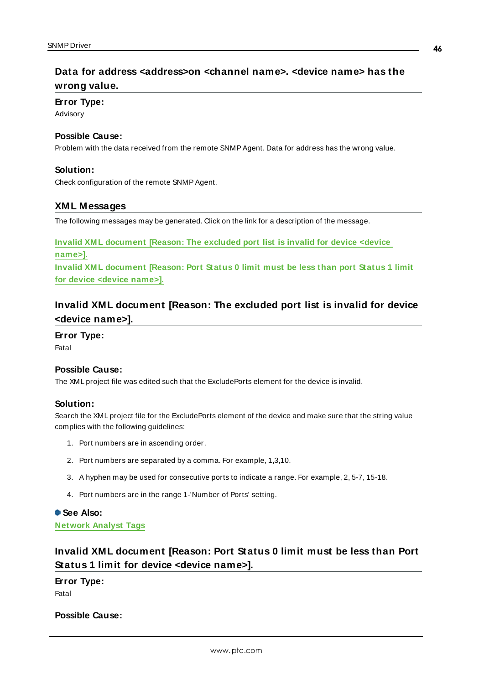# <span id="page-45-0"></span>**Data for address <address>on <channel name>. <device name> has the wrong value.**

#### **Error Type:**

Advisory

#### **Possible Cause:**

Problem with the data received from the remote SNMPAgent. Data for address has the wrong value.

#### **Solution:**

<span id="page-45-1"></span>Check configuration of the remote SNMPAgent.

#### **XML Messages**

The following messages may be generated. Click on the link for a description of the message.

**Invalid XM L [document](#page-45-2) [Reason: The excluded port list is invalid for device <device [name>\].](#page-45-2) Invalid XM L [document](#page-45-3) [Reason: Port Status 0 limit must be less than port Status 1 limit for device <device [name>\].](#page-45-3)**

# <span id="page-45-2"></span>**Invalid XML document [Reason: The excluded port list is invalid for device <device name>].**

#### **Error Type:**

Fatal

#### **Possible Cause:**

The XML project file was edited such that the ExcludePorts element for the device is invalid.

#### **Solution:**

Search the XML project file for the ExcludePorts element of the device and make sure that the string value complies with the following guidelines:

- 1. Port numbers are in ascending order.
- 2. Port numbers are separated by a comma. For example, 1,3,10.
- 3. A hyphen may be used for consecutive ports to indicate a range. For example, 2, 5-7, 15-18.
- 4. Port numbers are in the range 1-'Number of Ports' setting.

#### **See Also:**

<span id="page-45-3"></span>**[Network](#page-22-0) Analyst Tags**

# **Invalid XML document [Reason: Port Status 0 limit must be less than Port Status 1 limit for device <device name>].**

**Error Type:** Fatal

#### **Possible Cause:**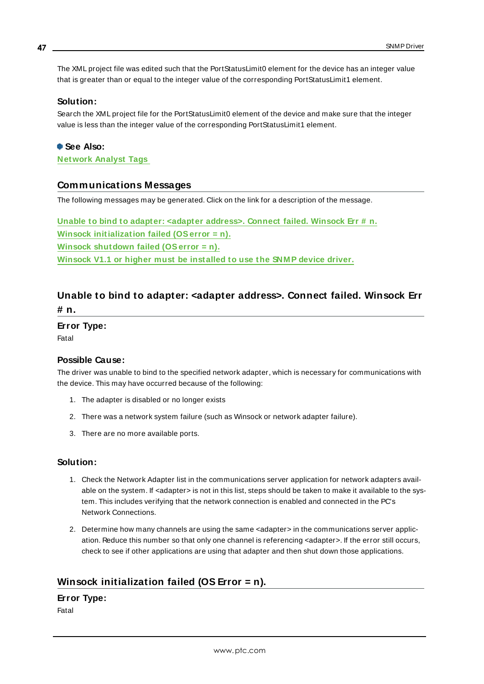The XML project file was edited such that the PortStatusLimit0 element for the device has an integer value that is greater than or equal to the integer value of the corresponding PortStatusLimit1 element.

#### **Solution:**

Search the XML project file for the PortStatusLimit0 element of the device and make sure that the integer value is less than the integer value of the corresponding PortStatusLimit1 element.

# **See Also:**

<span id="page-46-0"></span>**[Network](#page-22-0) Analyst Tags**

#### **Communications Messages**

The following messages may be generated. Click on the link for a description of the message.

**Unable to bind to adapter: <adapter [address>.](#page-46-1) Connect failed. Winsock Err # n. Winsock [initialization](#page-46-2) failed (OSerror = n). Winsock [shutdown](#page-47-0) failed (OSerror = n). Winsock V1.1 or higher must be [installed](#page-47-1) to use the SNM P device driver.**

# <span id="page-46-1"></span>**Unable to bind to adapter: <adapter address>. Connect failed. Winsock Err # n.**

**Error Type:**

Fatal

#### **Possible Cause:**

The driver was unable to bind to the specified network adapter, which is necessary for communications with the device. This may have occurred because of the following:

- 1. The adapter is disabled or no longer exists
- 2. There was a network system failure (such as Winsock or network adapter failure).
- 3. There are no more available ports.

#### **Solution:**

- 1. Check the Network Adapter list in the communications server application for network adapters available on the system. If <adapter> is not in this list, steps should be taken to make it available to the system. This includes verifying that the network connection is enabled and connected in the PC's Network Connections.
- 2. Determine how many channels are using the same <adapter> in the communications server application. Reduce this number so that only one channel is referencing <adapter>. If the error still occurs, check to see if other applications are using that adapter and then shut down those applications.

## <span id="page-46-2"></span>**Winsock initialization failed (OS Error = n).**

# **Error Type:**

Fatal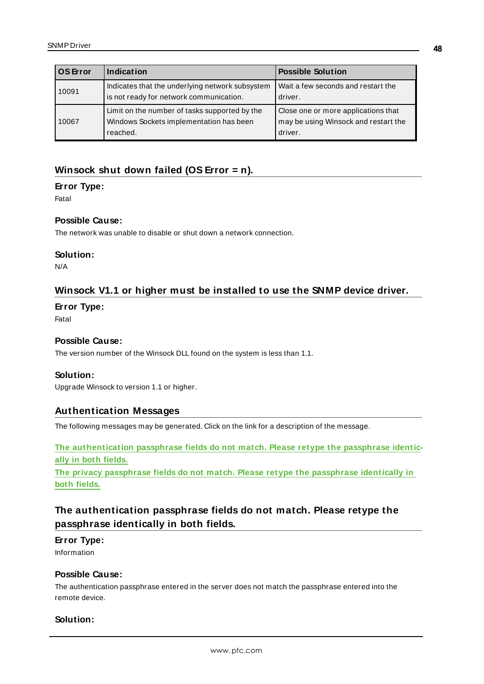| <b>OS Error</b> | Indication                                                                                           | <b>Possible Solution</b>                                                               |  |
|-----------------|------------------------------------------------------------------------------------------------------|----------------------------------------------------------------------------------------|--|
| 10091           | Indicates that the underlying network subsystem<br>is not ready for network communication.           | Wait a few seconds and restart the<br>driver.                                          |  |
| 10067           | Limit on the number of tasks supported by the<br>Windows Sockets implementation has been<br>reached. | Close one or more applications that<br>may be using Winsock and restart the<br>driver. |  |

# <span id="page-47-0"></span>**Winsock shut down failed (OS Error = n).**

#### **Error Type:**

Fatal

#### **Possible Cause:**

The network was unable to disable or shut down a network connection.

#### **Solution:**

<span id="page-47-1"></span>N/A

## **Winsock V1.1 or higher must be installed to use the SNMP device driver.**

#### **Error Type:**

Fatal

#### **Possible Cause:**

The version number of the Winsock DLL found on the system is less than 1.1.

#### **Solution:**

<span id="page-47-2"></span>Upgrade Winsock to version 1.1 or higher.

#### **Authentication Messages**

The following messages may be generated. Click on the link for a description of the message.

**The [authentication](#page-47-3) passphrase fields do not match. Please retype the passphrase identically in both [fields.](#page-47-3)**

**The privacy passphrase fields do not match. Please retype the [passphrase](#page-48-0) identically in both [fields.](#page-48-0)**

# <span id="page-47-3"></span>**The authentication passphrase fields do not match. Please retype the passphrase identically in both fields.**

#### **Error Type:**

Information

### **Possible Cause:**

The authentication passphrase entered in the server does not match the passphrase entered into the remote device.

#### **Solution:**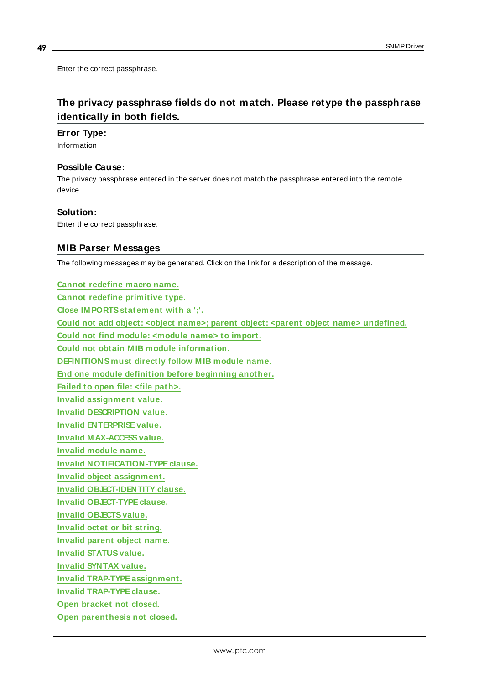Enter the correct passphrase.

# <span id="page-48-0"></span>**The privacy passphrase fields do not match. Please retype the passphrase identically in both fields.**

#### **Error Type:**

Information

#### **Possible Cause:**

The privacy passphrase entered in the server does not match the passphrase entered into the remote device.

#### **Solution:**

<span id="page-48-1"></span>Enter the correct passphrase.

#### **MIB Parser Messages**

The following messages may be generated. Click on the link for a description of the message.

**Cannot [redefine](#page-49-0) macro name. Cannot redefine [primitive](#page-49-1) type. Close [IM PORTSstatement](#page-49-2) with a ';'. Could not add object: <object name>; parent object: <parent object name> [undefined.](#page-49-3) Could not find module: [<module](#page-50-0) name> to import. Could not obtain M IB module [information.](#page-50-1) [DEFINITIONS](#page-50-2) must directly follow M IB module name. End one module definition before [beginning](#page-50-3) another. Failed to open file: <file [path>.](#page-50-4) Invalid [assignment](#page-51-0) value. Invalid [DESCRIPTION](#page-51-1) value. Invalid [ENTERPRISEvalue.](#page-51-2) Invalid MAX-ACCESS value. Invalid [module](#page-52-0) name. Invalid [NOTIFICATION-TYPEclause.](#page-52-1) Invalid object [assignment.](#page-52-2) Invalid [OBJECT-IDENTITY](#page-52-3) clause. Invalid [OBJECT-TYPEclause.](#page-53-0) Invalid [OBJECTSvalue.](#page-53-1) [Invalid](#page-53-2) octet or bit string. [Invalid](#page-53-3) parent object name. Invalid [STATUSvalue.](#page-54-0) Invalid [SYNTAX](#page-54-1) value. Invalid [TRAP-TYPEassignment.](#page-54-2) Invalid [TRAP-TYPEclause.](#page-54-3) Open [bracket](#page-55-0) not closed. Open [parenthesis](#page-55-1) not closed.**

**49**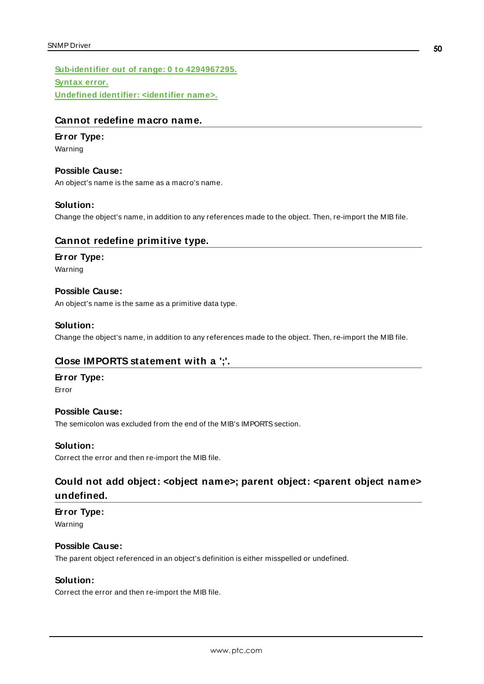**[Sub-identifier](#page-55-2) out of range: 0 to 4294967295. [Syntax](#page-55-3) error. Undefined identifier: [<identifier](#page-55-4) name>.**

# <span id="page-49-0"></span>**Cannot redefine macro name.**

#### **Error Type:**

Warning

### **Possible Cause:**

An object's name is the same as a macro's name.

#### **Solution:**

<span id="page-49-1"></span>Change the object's name, in addition to any references made to the object. Then, re-import the MIB file.

## **Cannot redefine primitive type.**

#### **Error Type:**

Warning

#### **Possible Cause:**

An object's name is the same as a primitive data type.

#### **Solution:**

<span id="page-49-2"></span>Change the object's name, in addition to any references made to the object. Then, re-import the MIB file.

## **Close IMPORTS statement with a ';'.**

#### **Error Type:**

Error

## **Possible Cause:**

The semicolon was excluded from the end of the MIB's IMPORTS section.

## **Solution:**

<span id="page-49-3"></span>Correct the error and then re-import the MIB file.

# **Could not add object: <object name>; parent object: <parent object name> undefined.**

**Error Type:** Warning

#### **Possible Cause:**

The parent object referenced in an object's definition is either misspelled or undefined.

#### **Solution:**

Correct the error and then re-import the MIB file.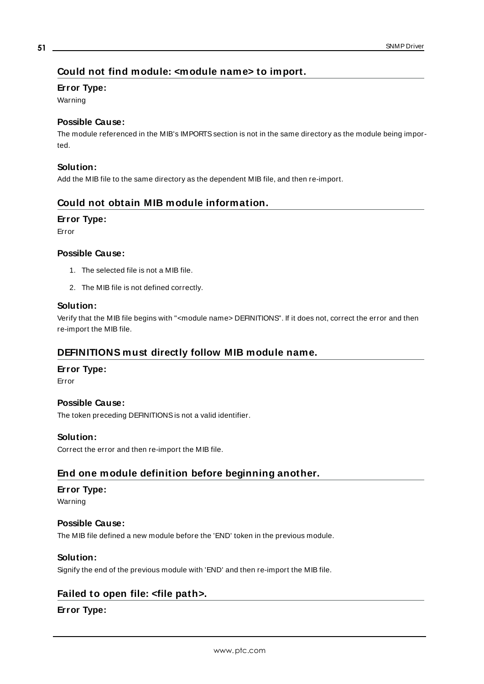# <span id="page-50-0"></span>**Could not find module: <module name> to import.**

#### **Error Type:**

Warning

### **Possible Cause:**

The module referenced in the MIB's IMPORTS section is not in the same directory as the module being imported.

#### **Solution:**

<span id="page-50-1"></span>Add the MIB file to the same directory as the dependent MIB file, and then re-import.

## **Could not obtain MIB module information.**

#### **Error Type:**

Error

#### **Possible Cause:**

- 1. The selected file is not a MIB file.
- 2. The MIB file is not defined correctly.

#### **Solution:**

Verify that the MIB file begins with "<module name> DEFINITIONS". If it does not, correct the error and then re-import the MIB file.

## <span id="page-50-2"></span>**DEFINITIONS must directly follow MIB module name.**

#### **Error Type:**

Error

#### **Possible Cause:**

The token preceding DEFINITIONSis not a valid identifier.

#### **Solution:**

<span id="page-50-3"></span>Correct the error and then re-import the MIB file.

# **End one module definition before beginning another.**

#### **Error Type:**

Warning

#### **Possible Cause:**

The MIB file defined a new module before the 'END' token in the previous module.

#### **Solution:**

<span id="page-50-4"></span>Signify the end of the previous module with 'END' and then re-import the MIB file.

# **Failed to open file: <file path>.**

## **Error Type:**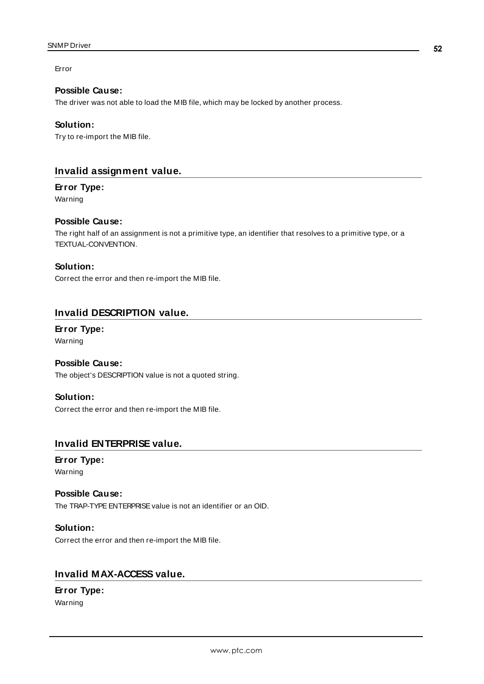Error

### **Possible Cause:**

The driver was not able to load the MIB file, which may be locked by another process.

#### **Solution:**

Try to re-import the MIB file.

# <span id="page-51-0"></span>**Invalid assignment value.**

**Error Type:**

Warning

### **Possible Cause:**

The right half of an assignment is not a primitive type, an identifier that resolves to a primitive type, or a TEXTUAL-CONVENTION.

### **Solution:**

Correct the error and then re-import the MIB file.

# <span id="page-51-1"></span>**Invalid DESCRIPTION value.**

# **Error Type:**

Warning

# **Possible Cause:**

The object's DESCRIPTION value is not a quoted string.

#### **Solution:**

Correct the error and then re-import the MIB file.

# <span id="page-51-2"></span>**Invalid ENTERPRISE value.**

#### **Error Type:** Warning

## **Possible Cause:** The TRAP-TYPE ENTERPRISE value is not an identifier or an OID.

#### **Solution:**

Correct the error and then re-import the MIB file.

# <span id="page-51-3"></span>**Invalid MAX-ACCESS value.**

# **Error Type:**

Warning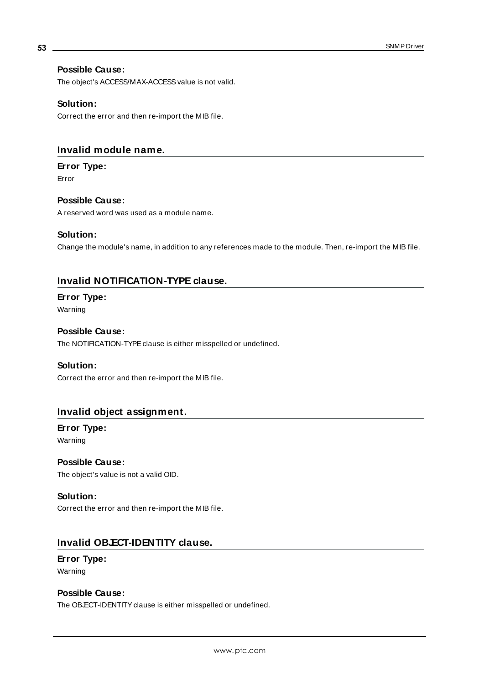# **Possible Cause:**

The object's ACCESS/MAX-ACCESS value is not valid.

#### **Solution:**

Correct the error and then re-import the MIB file.

# <span id="page-52-0"></span>**Invalid module name.**

#### **Error Type:**

Error

# **Possible Cause:**

A reserved word was used as a module name.

### **Solution:**

Change the module's name, in addition to any references made to the module. Then, re-import the MIB file.

# <span id="page-52-1"></span>**Invalid NOTIFICATION-TYPE clause.**

# **Error Type:**

Warning

### **Possible Cause:**

The NOTIFICATION-TYPE clause is either misspelled or undefined.

#### **Solution:**

Correct the error and then re-import the MIB file.

## <span id="page-52-2"></span>**Invalid object assignment.**

### **Error Type:** Warning

**Possible Cause:**

The object's value is not a valid OID.

# **Solution:** Correct the error and then re-import the MIB file.

# <span id="page-52-3"></span>**Invalid OBJECT-IDENTITY clause.**

### **Error Type:** Warning

### **Possible Cause:**

The OB ECT-IDENTITY clause is either misspelled or undefined.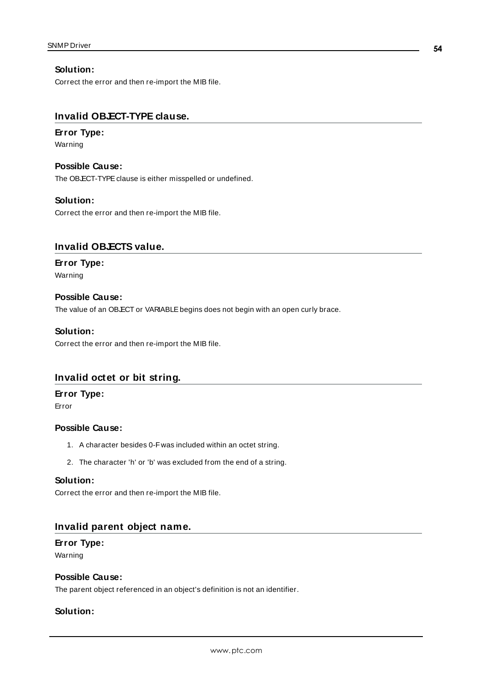#### **Solution:**

Correct the error and then re-import the MIB file.

# <span id="page-53-0"></span>**Invalid OBJECT-TYPE clause.**

#### **Error Type:**

Warning

# **Possible Cause:**

The OB.ECT-TYPE clause is either misspelled or undefined.

#### **Solution:**

Correct the error and then re-import the MIB file.

### <span id="page-53-1"></span>**Invalid OBJECTS value.**

# **Error Type:**

Warning

### **Possible Cause:**

The value of an OB ECT or VARIABLE begins does not begin with an open curly brace.

#### **Solution:**

Correct the error and then re-import the MIB file.

## <span id="page-53-2"></span>**Invalid octet or bit string.**

#### **Error Type:**

Error

#### **Possible Cause:**

- 1. A character besides 0-Fwas included within an octet string.
- 2. The character 'h' or 'b' was excluded from the end of a string.

#### **Solution:**

Correct the error and then re-import the MIB file.

#### <span id="page-53-3"></span>**Invalid parent object name.**

#### **Error Type:**

Warning

#### **Possible Cause:**

The parent object referenced in an object's definition is not an identifier.

#### **Solution:**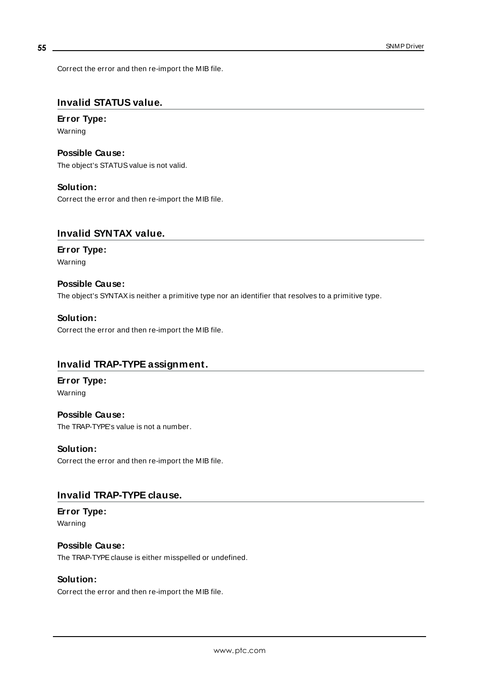Correct the error and then re-import the MIB file.

# <span id="page-54-0"></span>**Invalid STATUS value.**

# **Error Type:**

Warning

**Possible Cause:** The object's STATUS value is not valid.

#### **Solution:**

Correct the error and then re-import the MIB file.

# <span id="page-54-1"></span>**Invalid SYNTAX value.**

### **Error Type:** Warning

# **Possible Cause:** The object's SYNTAXis neither a primitive type nor an identifier that resolves to a primitive type.

**Solution:** Correct the error and then re-import the MIB file.

## <span id="page-54-2"></span>**Invalid TRAP-TYPE assignment.**

#### **Error Type:** Warning

**Possible Cause:** The TRAP-TYPE's value is not a number.

**Solution:** Correct the error and then re-import the MIB file.

# <span id="page-54-3"></span>**Invalid TRAP-TYPE clause.**

**Error Type:** Warning

## **Possible Cause:**

The TRAP-TYPE clause is either misspelled or undefined.

#### **Solution:**

Correct the error and then re-import the MIB file.

**55**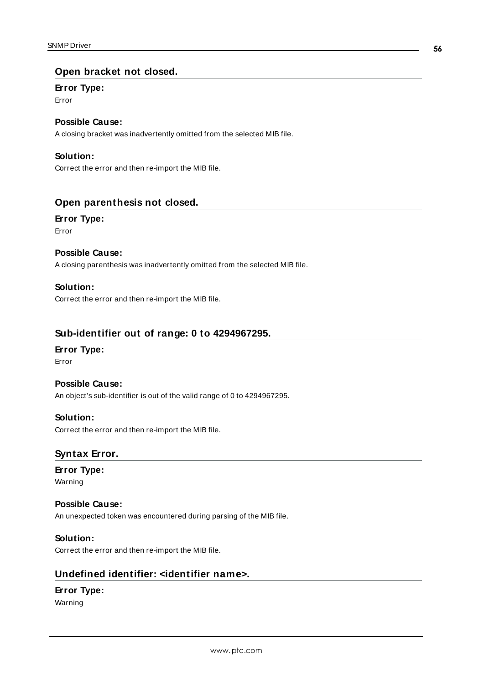### <span id="page-55-0"></span>**Open bracket not closed.**

#### **Error Type:**

Error

# **Possible Cause:**

A closing bracket was inadvertently omitted from the selected MIB file.

#### **Solution:**

Correct the error and then re-import the MIB file.

### <span id="page-55-1"></span>**Open parenthesis not closed.**

# **Error Type:**

Error

#### **Possible Cause:**

A closing parenthesis was inadvertently omitted from the selected MIB file.

#### **Solution:**

Correct the error and then re-import the MIB file.

#### <span id="page-55-2"></span>**Sub-identifier out of range: 0 to 4294967295.**

#### **Error Type:**

Error

#### **Possible Cause:**

An object's sub-identifier is out of the valid range of 0 to 4294967295.

#### **Solution:**

<span id="page-55-3"></span>Correct the error and then re-import the MIB file.

## **Syntax Error.**

# **Error Type:**

Warning

#### **Possible Cause:**

An unexpected token was encountered during parsing of the MIB file.

#### **Solution:**

<span id="page-55-4"></span>Correct the error and then re-import the MIB file.

# **Undefined identifier: <identifier name>.**

# **Error Type:**

Warning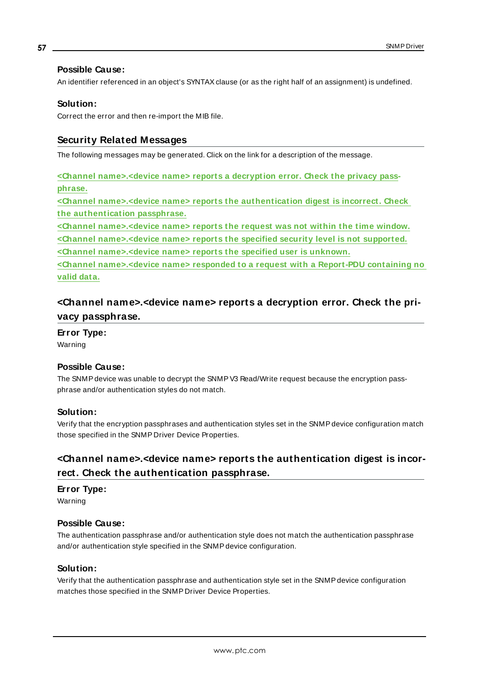## **Possible Cause:**

An identifier referenced in an object's SYNTAXclause (or as the right half of an assignment) is undefined.

#### **Solution:**

<span id="page-56-0"></span>Correct the error and then re-import the MIB file.

### **Security Related Messages**

The following messages may be generated. Click on the link for a description of the message.

**<Channel [name>.<device](#page-56-1) name> reports a decryption error. Check the privacy pass[phrase.](#page-56-1)**

**<Channel [name>.<device](#page-56-2) name> reports the authentication digest is incorrect. Check the [authentication](#page-56-2) passphrase.**

**<Channel [name>.<device](#page-57-0) name> reports the request was not within the time window.**

**<Channel [name>.<device](#page-57-1) name> reports the specified security level is not supported.**

**<Channel [name>.<device](#page-57-2) name> reports the specified user is unknown.**

**<Channel [name>.<device](#page-57-3) name> responded to a request with a Report-PDU containing no valid [data.](#page-57-3)**

# <span id="page-56-1"></span>**<Channel name>.<device name> reports a decryption error. Check the privacy passphrase.**

**Error Type:**

Warning

#### **Possible Cause:**

The SNMP device was unable to decrypt the SNMP V3 Read/Write request because the encryption passphrase and/or authentication styles do not match.

#### **Solution:**

Verify that the encryption passphrases and authentication styles set in the SNMPdevice configuration match those specified in the SNMP Driver Device Properties.

# <span id="page-56-2"></span>**<Channel name>.<device name> reports the authentication digest is incorrect. Check the authentication passphrase.**

#### **Error Type:**

Warning

#### **Possible Cause:**

The authentication passphrase and/or authentication style does not match the authentication passphrase and/or authentication style specified in the SNMPdevice configuration.

#### **Solution:**

Verify that the authentication passphrase and authentication style set in the SNMPdevice configuration matches those specified in the SNMP Driver Device Properties.

**57**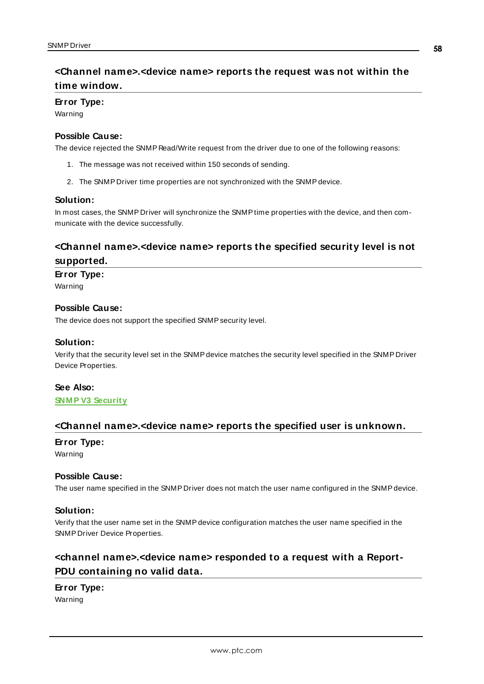# <span id="page-57-4"></span><span id="page-57-0"></span>**<Channel name>.<device name> reports the request was not within the time window.**

#### **Error Type:**

Warning

#### **Possible Cause:**

The device rejected the SNMP Read/Write request from the driver due to one of the following reasons:

- 1. The message was not received within 150 seconds of sending.
- 2. The SNMP Driver time properties are not synchronized with the SNMPdevice.

#### **Solution:**

In most cases, the SNMP Driver will synchronize the SNMPtime properties with the device, and then communicate with the device successfully.

# <span id="page-57-1"></span>**<Channel name>.<device name> reports the specified security level is not supported.**

#### **Error Type:**

Warning

#### **Possible Cause:**

The device does not support the specified SNMP security level.

#### **Solution:**

Verify that the security level set in the SNMPdevice matches the security level specified in the SNMP Driver Device Properties.

#### **See Also:**

# <span id="page-57-2"></span>**SNM P V3 [Security](#page-19-0)**

#### **<Channel name>.<device name> reports the specified user is unknown.**

#### **Error Type:**

Warning

#### **Possible Cause:**

The user name specified in the SNMP Driver does not match the user name configured in the SNMPdevice.

#### **Solution:**

Verify that the user name set in the SNMPdevice configuration matches the user name specified in the SNMP Driver Device Properties.

# <span id="page-57-3"></span>**<channel name>.<device name> responded to a request with a Report-PDU containing no valid data.**

### **Error Type:**

Warning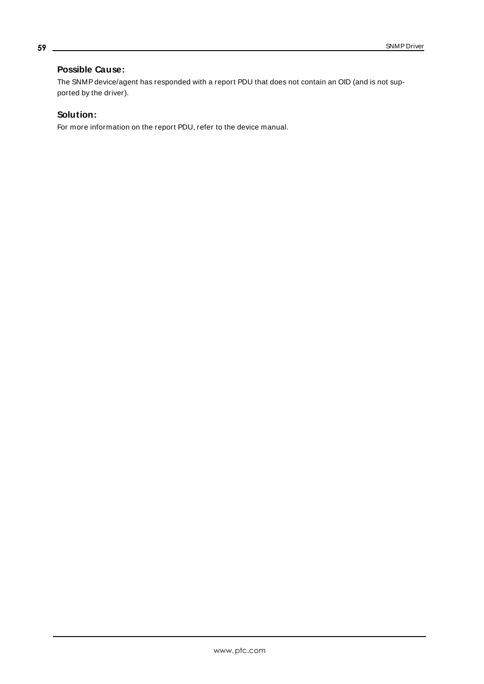# **Possible Cause:**

The SNMP device/agent has responded with a report PDU that does not contain an OID (and is not supported by the driver).

# **Solution:**

For more information on the report PDU, refer to the device manual.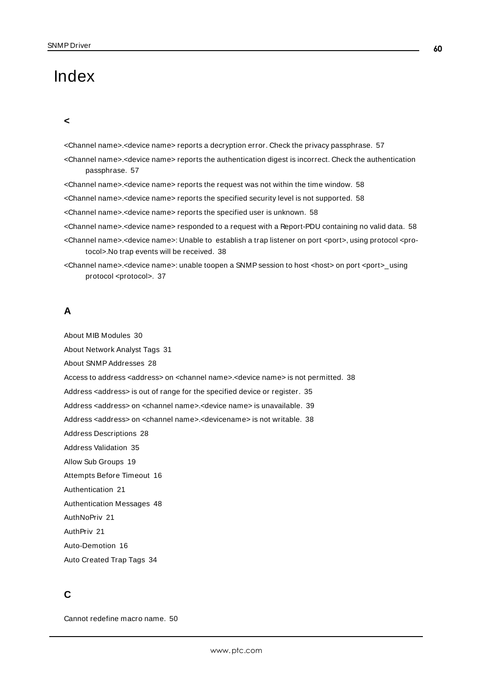# <span id="page-59-0"></span>Index

#### **<**

<Channel name>.<device name> reports a decryption error. Check the privacy passphrase. [57](#page-56-1)

- <Channel name>.<device name> reports the authentication digest is incorrect. Check the authentication passphrase. [57](#page-56-2)
- <Channel name>.<device name> reports the request was not within the time window. [58](#page-57-0)
- <Channel name>.<device name> reports the specified security level is not supported. [58](#page-57-4)
- <Channel name>.<device name> reports the specified user is unknown. [58](#page-57-2)
- <Channel name>.<device name> responded to a request with a Report-PDU containing no valid data. [58](#page-57-3)
- <Channel name>.<device name>: Unable to establish a trap listener on port <port>, using protocol <protocol>.No trap events will be received. [38](#page-37-0)
- <Channel name>.<device name>: unable toopen a SNMP session to host <host> on port <port>\_using protocol <protocol>. [37](#page-36-0)

### **A**

About MIB Modules [30](#page-29-0)

About Network Analyst Tags [31](#page-30-0)

About SNMPAddresses [28](#page-27-1)

Access to address <address> on <channel name>.<device name> is not permitted. [38](#page-37-1)

Address <address> is out of range for the specified device or register. [35](#page-34-2)

Address <address> on <channel name>.<device name> is unavailable. [39](#page-38-0)

Address <address> on <channel name>.<devicename> is not writable. [38](#page-37-2)

Address Descriptions [28](#page-27-0)

Address Validation [35](#page-34-1)

Allow Sub Groups [19](#page-18-3)

Attempts Before Timeout [16](#page-15-1)

Authentication [21](#page-20-1)

Authentication Messages [48](#page-47-2)

AuthNoPriv [21](#page-20-2)

AuthPriv [21](#page-20-3)

Auto-Demotion [16](#page-15-0)

Auto Created Trap Tags [34](#page-33-0)

### **C**

Cannot redefine macro name. [50](#page-49-0)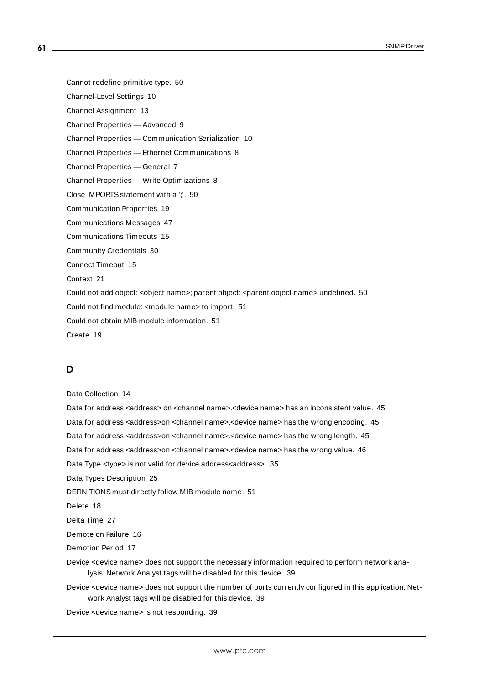- Cannot redefine primitive type. [50](#page-49-1)
- Channel-Level Settings [10](#page-9-1)
- Channel Assignment [13](#page-12-1)
- Channel Properties Advanced [9](#page-8-0)
- Channel Properties Communication Serialization [10](#page-9-0)
- Channel Properties Ethernet Communications [8](#page-7-1)
- Channel Properties General [7](#page-6-0)
- Channel Properties Write Optimizations [8](#page-7-3)
- Close IMPORTS statement with a ';'. [50](#page-49-2)
- Communication Properties [19](#page-18-0)
- Communications Messages [47](#page-46-0)
- Communications Timeouts [15](#page-14-1)
- Community Credentials [30](#page-29-1)
- Connect Timeout [15](#page-14-2)
- Context [21](#page-20-4)
- Could not add object: < object name>; parent object: < parent object name> undefined. [50](#page-49-3)
- Could not find module: <module name> to import. [51](#page-50-0)
- Could not obtain MIB module information. [51](#page-50-1)
- Create [19](#page-18-4)

### **D**

#### Data Collection [14](#page-13-3)

- Data for address <address> on <channel name>.<device name> has an inconsistent value. [45](#page-44-1)
- Data for address <address>on <channel name>.<device name> has the wrong encoding. [45](#page-44-2)
- Data for address <address>on <channel name>.<device name> has the wrong length. [45](#page-44-3)
- Data for address <address>on <channel name>.<device name> has the wrong value. [46](#page-45-0)
- Data Type <type> is not valid for device address<address>. [35](#page-34-3)
- Data Types Description [25](#page-24-0)
- DEFINITIONS must directly follow MIB module name. [51](#page-50-2)
- Delete [18](#page-17-0)
- Delta Time [27](#page-26-2)
- Demote on Failure [16](#page-15-2)
- Demotion Period [17](#page-16-1)
- Device <device name> does not support the necessary information required to perform network analysis. Network Analyst tags will be disabled for this device. [39](#page-38-1)
- Device <device name> does not support the number of ports currently configured in this application. Network Analyst tags will be disabled for this device. [39](#page-38-2)
- Device <device name> is not responding. [39](#page-38-3)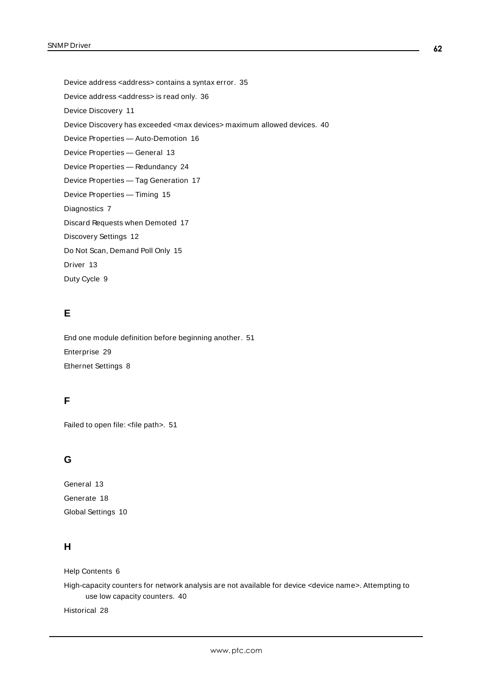Device address <address> contains a syntax error. [35](#page-34-4)

Device address <address> is read only. [36](#page-35-0)

Device Discovery [11](#page-10-0)

Device Discovery has exceeded <max devices> maximum allowed devices. [40](#page-39-0)

Device Properties — Auto-Demotion [16](#page-15-0)

Device Properties — General [13](#page-12-0)

Device Properties — Redundancy [24](#page-23-0)

Device Properties — Tag Generation [17](#page-16-0)

Device Properties — Timing [15](#page-14-0)

Diagnostics [7](#page-6-1)

Discard Requests when Demoted [17](#page-16-2)

Discovery Settings [12](#page-11-0)

Do Not Scan, Demand Poll Only [15](#page-14-3)

Driver [13](#page-12-2)

Duty Cycle [9](#page-8-1)

# **E**

End one module definition before beginning another. [51](#page-50-3) Enterprise [29](#page-28-0) Ethernet Settings [8](#page-7-4)

# **F**

Failed to open file: <file path>. [51](#page-50-4)

# **G**

General [13](#page-12-0) Generate [18](#page-17-1) Global Settings [10](#page-9-2)

# **H**

Help Contents [6](#page-5-0)

High-capacity counters for network analysis are not available for device <device name>. Attempting to use low capacity counters. [40](#page-39-1)

Historical [28](#page-27-2)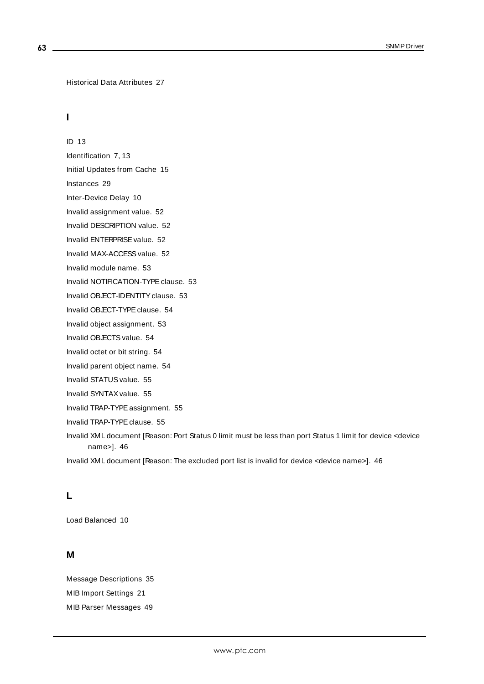```
Historical Data Attributes 27
```
# **I**

ID [13](#page-12-3) Identification [7,](#page-6-2) [13](#page-12-4) Initial Updates from Cache [15](#page-14-4) Instances [29](#page-28-1) Inter-Device Delay [10](#page-9-3) Invalid assignment value. [52](#page-51-0) Invalid DESCRIPTION value. [52](#page-51-1) Invalid ENTERPRISEvalue. [52](#page-51-2)

Invalid MAX-ACCESS value. [52](#page-51-3)

Invalid module name. [53](#page-52-0)

Invalid NOTIFICATION-TYPE clause. [53](#page-52-1)

Invalid OB.ECT-IDENTITY clause. [53](#page-52-3)

Invalid OBJECT-TYPE clause. [54](#page-53-0)

Invalid object assignment. [53](#page-52-2)

Invalid OBJECTS value. [54](#page-53-1)

Invalid octet or bit string. [54](#page-53-2)

Invalid parent object name. [54](#page-53-3)

Invalid STATUS value. [55](#page-54-0)

Invalid SYNTAX value. [55](#page-54-1)

Invalid TRAP-TYPEassignment. [55](#page-54-2)

Invalid TRAP-TYPE clause. [55](#page-54-3)

Invalid XML document [Reason: Port Status 0 limit must be less than port Status 1 limit for device <device name>]. [46](#page-45-3)

Invalid XML document [Reason: The excluded port list is invalid for device <device name>]. [46](#page-45-2)

#### **L**

Load Balanced [10](#page-9-4)

#### **M**

Message Descriptions [35](#page-34-0) MIB Import Settings [21](#page-20-0) MIB Parser Messages [49](#page-48-1)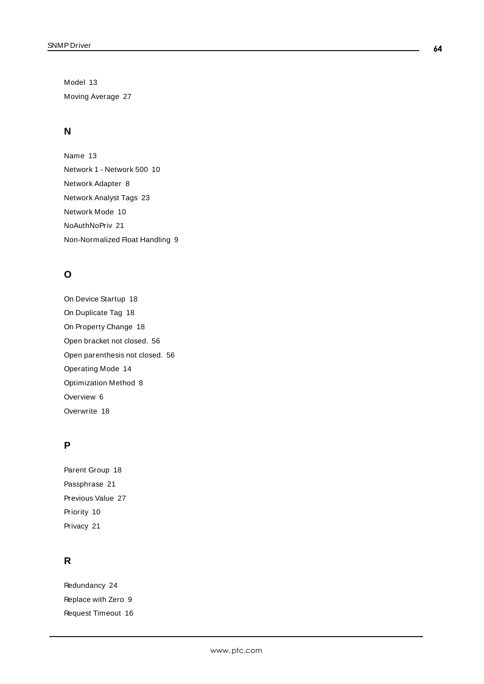Model [13](#page-12-5) Moving Average [27](#page-26-3)

# **N**

Name [13](#page-12-6) Network 1 - Network 500 [10](#page-9-5) Network Adapter [8](#page-7-5) Network Analyst Tags [23](#page-22-0) Network Mode [10](#page-9-6) NoAuthNoPriv [21](#page-20-5) Non-Normalized Float Handling [9](#page-8-2)

# **O**

On Device Startup [18](#page-17-2) On Duplicate Tag [18](#page-17-3) On Property Change [18](#page-17-4) Open bracket not closed. [56](#page-55-0) Open parenthesis not closed. [56](#page-55-1) Operating Mode [14](#page-13-0) Optimization Method [8](#page-7-6) Overview [6](#page-5-1) Overwrite [18](#page-17-5)

# **P**

Parent Group [18](#page-17-6) Passphrase [21](#page-20-6) Previous Value [27](#page-26-1) Priority [10](#page-9-4) Privacy [21](#page-20-7)

# **R**

Redundancy [24](#page-23-0) Replace with Zero [9](#page-8-3) Request Timeout [16](#page-15-3)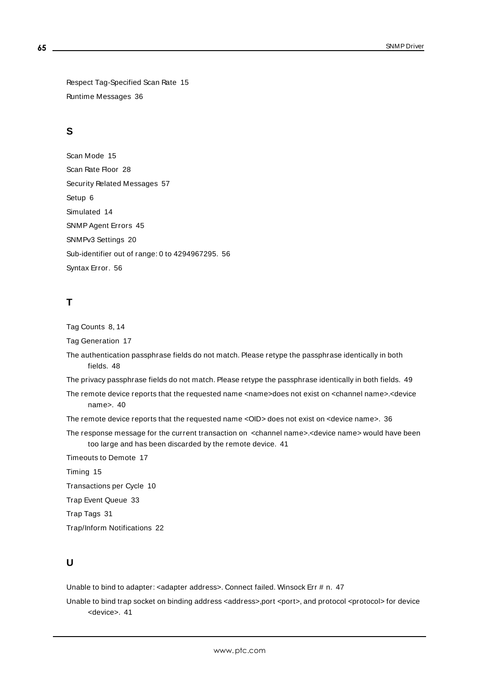Respect Tag-Specified Scan Rate [15](#page-14-5) Runtime Messages [36](#page-35-2)

## **S**

Scan Mode [15](#page-14-6) Scan Rate Floor [28](#page-27-3) Security Related Messages [57](#page-56-0) Setup [6](#page-5-2) Simulated [14](#page-13-4) SNMPAgent Errors [45](#page-44-0) SNMPv3 Settings [20](#page-19-1) Sub-identifier out of range: 0 to 4294967295. [56](#page-55-2) Syntax Error. [56](#page-55-3)

# **T**

Tag Counts [8,](#page-7-0) [14](#page-13-1)

Tag Generation [17](#page-16-0)

The authentication passphrase fields do not match. Please retype the passphrase identically in both fields. [48](#page-47-3)

The privacy passphrase fields do not match. Please retype the passphrase identically in both fields. [49](#page-48-0)

The remote device reports that the requested name <name>does not exist on <channel name>.<device name>. [40](#page-39-2)

The remote device reports that the requested name <OID> does not exist on <device name>. [36](#page-35-1)

The response message for the current transaction on <channel name>.<device name> would have been too large and has been discarded by the remote device. [41](#page-40-0)

Timeouts to Demote [17](#page-16-3) Timing [15](#page-14-0) Transactions per Cycle [10](#page-9-7) Trap Event Queue [33](#page-32-0) Trap Tags [31](#page-30-1) Trap/Inform Notifications [22](#page-21-0)

# **U**

Unable to bind to adapter: < adapter address>. Connect failed. Winsock Err # n. [47](#page-46-1)

Unable to bind trap socket on binding address <address>,port <port>, and protocol <protocol> for device <device>. [41](#page-40-1)